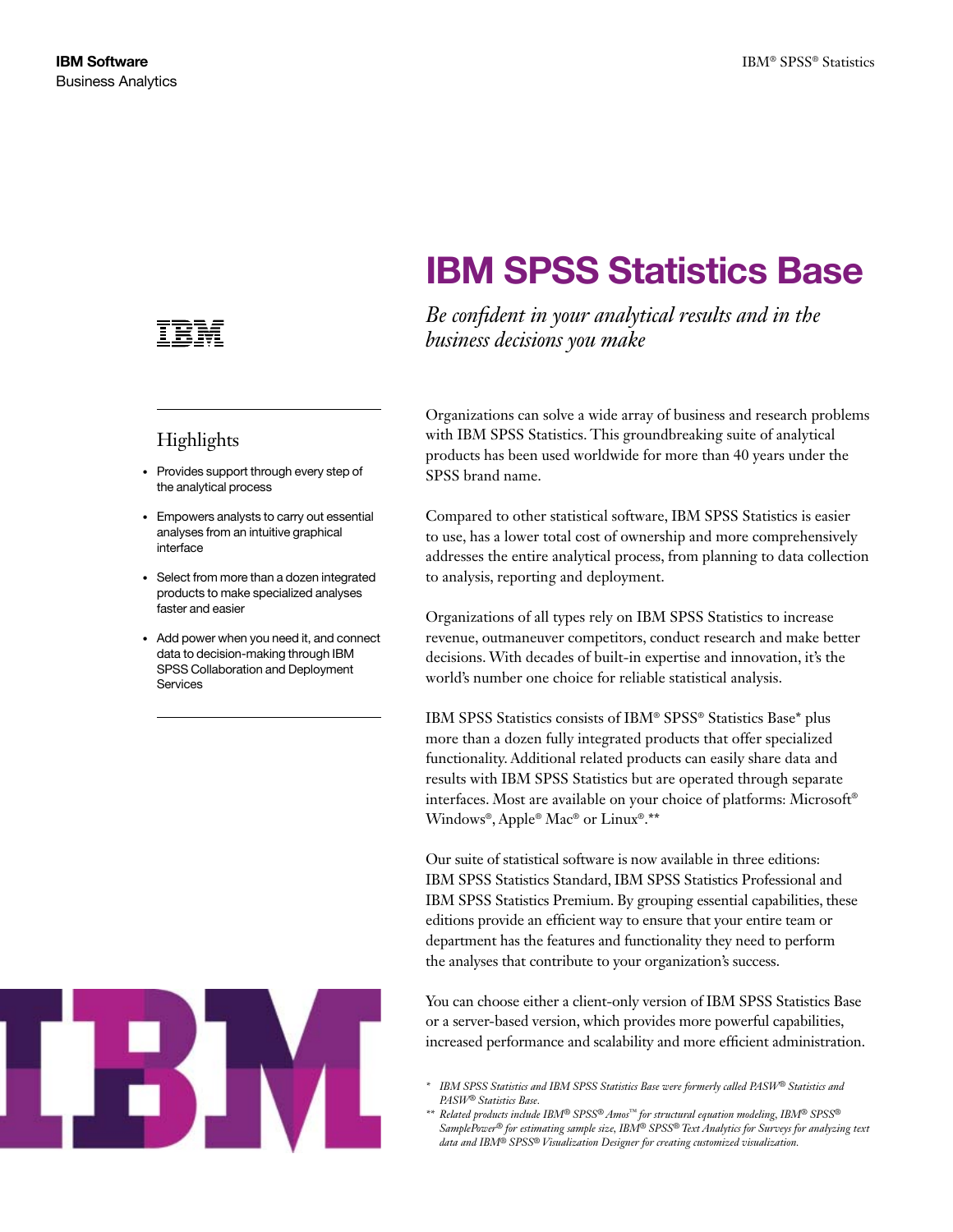

### Highlights

- • Provides support through every step of the analytical process
- • Empowers analysts to carry out essential analyses from an intuitive graphical interface
- Select from more than a dozen integrated products to make specialized analyses faster and easier
- Add power when you need it, and connect data to decision-making through IBM SPSS Collaboration and Deployment Services



# IBM SPSS Statistics Base

*Be confident in your analytical results and in the business decisions you make*

Organizations can solve a wide array of business and research problems with IBM SPSS Statistics. This groundbreaking suite of analytical products has been used worldwide for more than 40 years under the SPSS brand name.

Compared to other statistical software, IBM SPSS Statistics is easier to use, has a lower total cost of ownership and more comprehensively addresses the entire analytical process, from planning to data collection to analysis, reporting and deployment.

Organizations of all types rely on IBM SPSS Statistics to increase revenue, outmaneuver competitors, conduct research and make better decisions. With decades of built-in expertise and innovation, it's the world's number one choice for reliable statistical analysis.

IBM SPSS Statistics consists of IBM® SPSS® Statistics Base\* plus more than a dozen fully integrated products that offer specialized functionality. Additional related products can easily share data and results with IBM SPSS Statistics but are operated through separate interfaces. Most are available on your choice of platforms: Microsoft® Windows®, Apple® Mac® or Linux®.\*\*

Our suite of statistical software is now available in three editions: IBM SPSS Statistics Standard, IBM SPSS Statistics Professional and IBM SPSS Statistics Premium. By grouping essential capabilities, these editions provide an efficient way to ensure that your entire team or department has the features and functionality they need to perform the analyses that contribute to your organization's success.

You can choose either a client-only version of IBM SPSS Statistics Base or a server-based version, which provides more powerful capabilities, increased performance and scalability and more efficient administration.

- *\* IBM SPSS Statistics and IBM SPSS Statistics Base were formerly called PASW® Statistics and PASW® Statistics Base.*
- *\*\* Related products include IBM® SPSS® Amos™ for structural equation modeling, IBM® SPSS® SamplePower® for estimating sample size, IBM® SPSS® Text Analytics for Surveys for analyzing text data and IBM® SPSS® Visualization Designer for creating customized visualization.*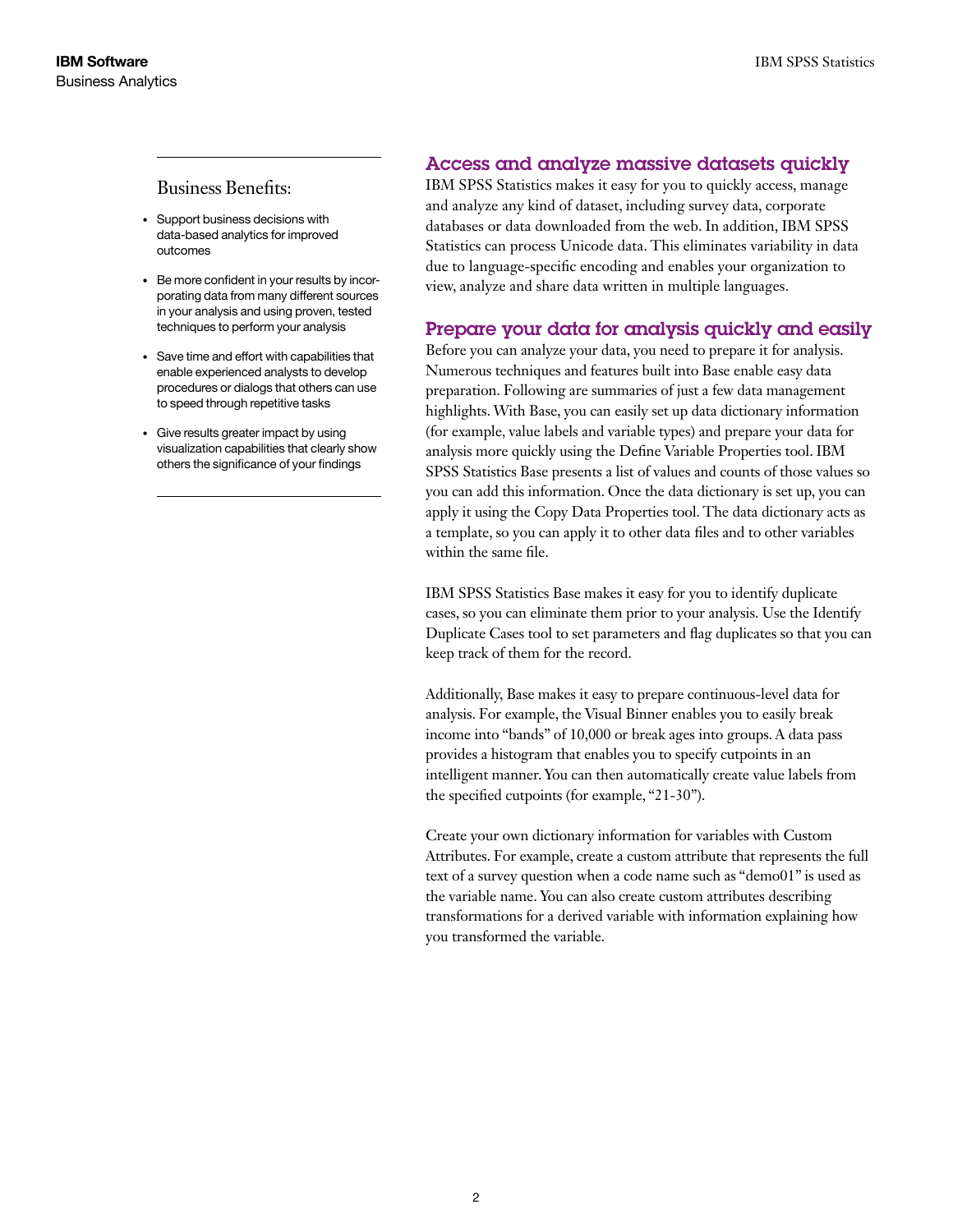### Business Benefits:

- • Support business decisions with data-based analytics for improved outcomes
- Be more confident in your results by incorporating data from many different sources in your analysis and using proven, tested techniques to perform your analysis
- • Save time and effort with capabilities that enable experienced analysts to develop procedures or dialogs that others can use to speed through repetitive tasks
- • Give results greater impact by using visualization capabilities that clearly show others the significance of your findings

### Access and analyze massive datasets quickly

IBM SPSS Statistics makes it easy for you to quickly access, manage and analyze any kind of dataset, including survey data, corporate databases or data downloaded from the web. In addition, IBM SPSS Statistics can process Unicode data. This eliminates variability in data due to language-specific encoding and enables your organization to view, analyze and share data written in multiple languages.

### Prepare your data for analysis quickly and easily

Before you can analyze your data, you need to prepare it for analysis. Numerous techniques and features built into Base enable easy data preparation. Following are summaries of just a few data management highlights. With Base, you can easily set up data dictionary information (for example, value labels and variable types) and prepare your data for analysis more quickly using the Define Variable Properties tool. IBM SPSS Statistics Base presents a list of values and counts of those values so you can add this information. Once the data dictionary is set up, you can apply it using the Copy Data Properties tool. The data dictionary acts as a template, so you can apply it to other data files and to other variables within the same file.

IBM SPSS Statistics Base makes it easy for you to identify duplicate cases, so you can eliminate them prior to your analysis. Use the Identify Duplicate Cases tool to set parameters and flag duplicates so that you can keep track of them for the record.

Additionally, Base makes it easy to prepare continuous-level data for analysis. For example, the Visual Binner enables you to easily break income into "bands" of 10,000 or break ages into groups. A data pass provides a histogram that enables you to specify cutpoints in an intelligent manner. You can then automatically create value labels from the specified cutpoints (for example, "21-30").

Create your own dictionary information for variables with Custom Attributes. For example, create a custom attribute that represents the full text of a survey question when a code name such as "demo01" is used as the variable name. You can also create custom attributes describing transformations for a derived variable with information explaining how you transformed the variable.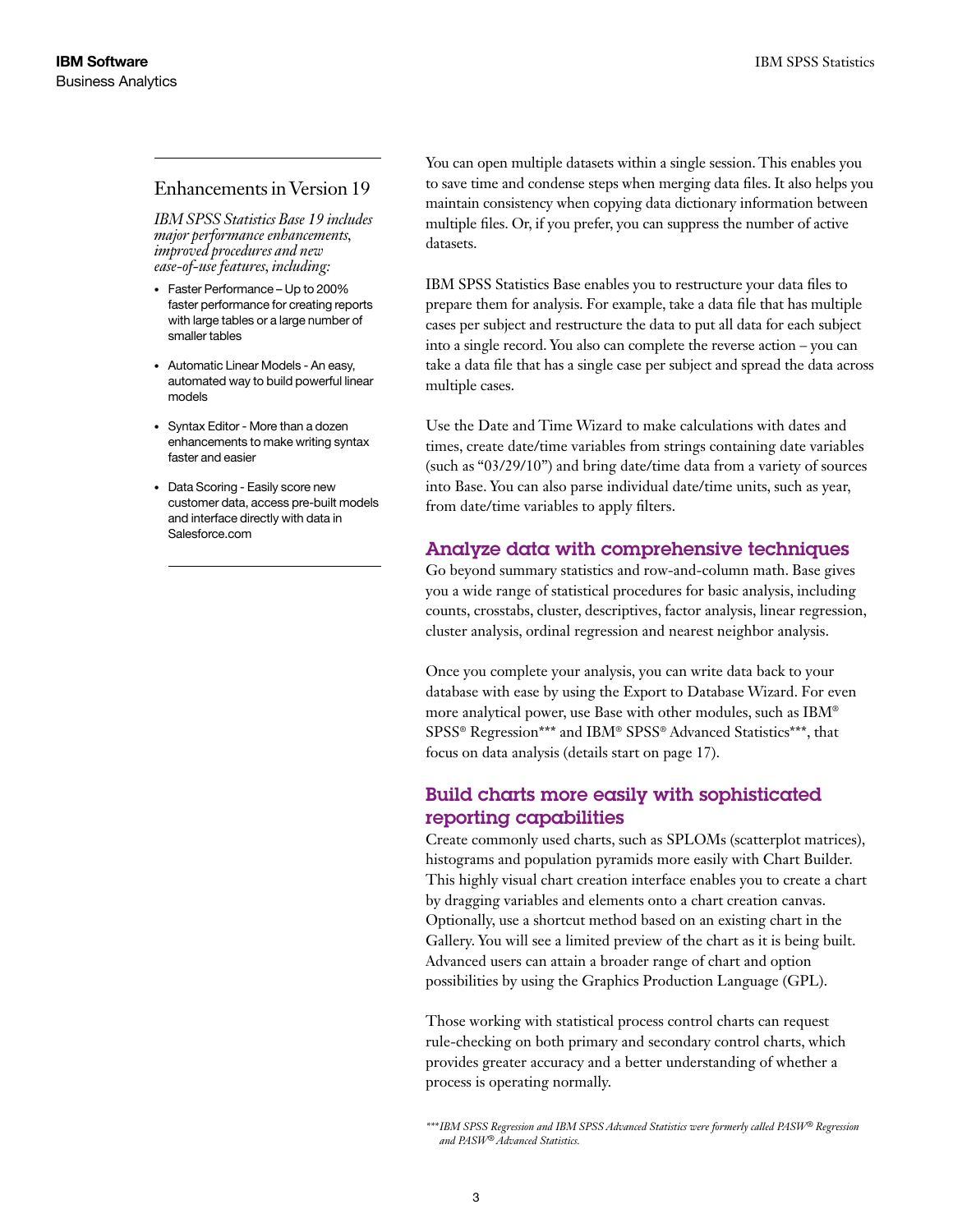### Enhancements in Version 19

*IBM SPSS Statistics Base 19 includes major performance enhancements, improved procedures and new ease-of-use features, including:*

- • Faster Performance Up to 200% faster performance for creating reports with large tables or a large number of smaller tables
- • Automatic Linear Models An easy, automated way to build powerful linear models
- Syntax Editor More than a dozen enhancements to make writing syntax faster and easier
- • Data Scoring Easily score new customer data, access pre-built models and interface directly with data in Salesforce.com

You can open multiple datasets within a single session. This enables you to save time and condense steps when merging data files. It also helps you maintain consistency when copying data dictionary information between multiple files. Or, if you prefer, you can suppress the number of active datasets.

IBM SPSS Statistics Base enables you to restructure your data files to prepare them for analysis. For example, take a data file that has multiple cases per subject and restructure the data to put all data for each subject into a single record. You also can complete the reverse action – you can take a data file that has a single case per subject and spread the data across multiple cases.

Use the Date and Time Wizard to make calculations with dates and times, create date/time variables from strings containing date variables (such as "03/29/10") and bring date/time data from a variety of sources into Base. You can also parse individual date/time units, such as year, from date/time variables to apply filters.

### Analyze data with comprehensive techniques

Go beyond summary statistics and row-and-column math. Base gives you a wide range of statistical procedures for basic analysis, including counts, crosstabs, cluster, descriptives, factor analysis, linear regression, cluster analysis, ordinal regression and nearest neighbor analysis.

Once you complete your analysis, you can write data back to your database with ease by using the Export to Database Wizard. For even more analytical power, use Base with other modules, such as IBM® SPSS® Regression\*\*\* and IBM® SPSS® Advanced Statistics\*\*\*, that focus on data analysis (details start on page 17).

### Build charts more easily with sophisticated reporting capabilities

Create commonly used charts, such as SPLOMs (scatterplot matrices), histograms and population pyramids more easily with Chart Builder. This highly visual chart creation interface enables you to create a chart by dragging variables and elements onto a chart creation canvas. Optionally, use a shortcut method based on an existing chart in the Gallery. You will see a limited preview of the chart as it is being built. Advanced users can attain a broader range of chart and option possibilities by using the Graphics Production Language (GPL).

Those working with statistical process control charts can request rule-checking on both primary and secondary control charts, which provides greater accuracy and a better understanding of whether a process is operating normally.

*<sup>\*\*\*</sup>IBM SPSS Regression and IBM SPSS Advanced Statistics were formerly called PASW® Regression and PASW® Advanced Statistics.*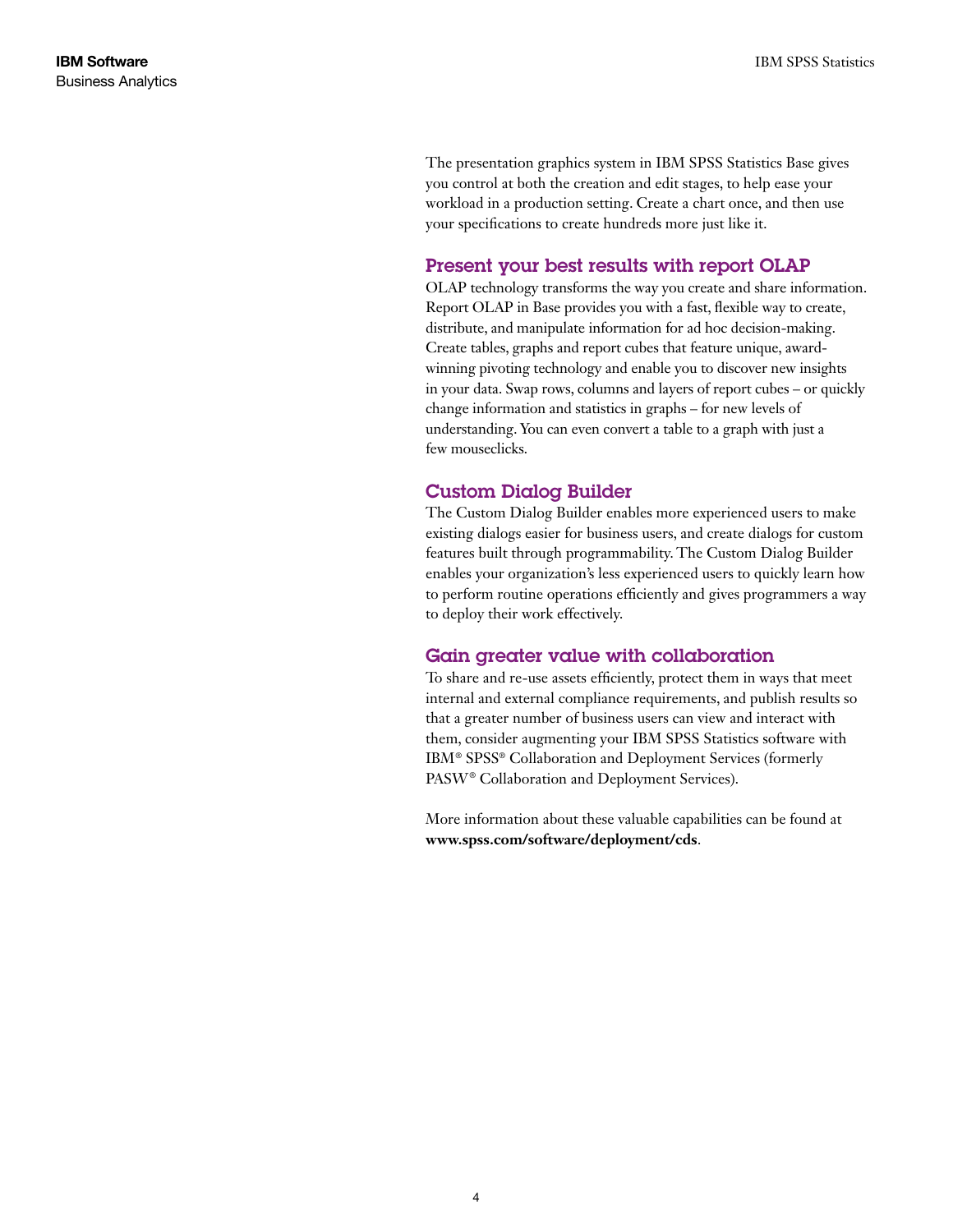The presentation graphics system in IBM SPSS Statistics Base gives you control at both the creation and edit stages, to help ease your workload in a production setting. Create a chart once, and then use your specifications to create hundreds more just like it.

### Present your best results with report OLAP

OLAP technology transforms the way you create and share information. Report OLAP in Base provides you with a fast, flexible way to create, distribute, and manipulate information for ad hoc decision-making. Create tables, graphs and report cubes that feature unique, awardwinning pivoting technology and enable you to discover new insights in your data. Swap rows, columns and layers of report cubes – or quickly change information and statistics in graphs – for new levels of understanding. You can even convert a table to a graph with just a few mouseclicks.

### Custom Dialog Builder

The Custom Dialog Builder enables more experienced users to make existing dialogs easier for business users, and create dialogs for custom features built through programmability. The Custom Dialog Builder enables your organization's less experienced users to quickly learn how to perform routine operations efficiently and gives programmers a way to deploy their work effectively.

### Gain greater value with collaboration

To share and re-use assets efficiently, protect them in ways that meet internal and external compliance requirements, and publish results so that a greater number of business users can view and interact with them, consider augmenting your IBM SPSS Statistics software with IBM® SPSS® Collaboration and Deployment Services (formerly PASW® Collaboration and Deployment Services).

More information about these valuable capabilities can be found at **www.spss.com/software/deployment/cds**.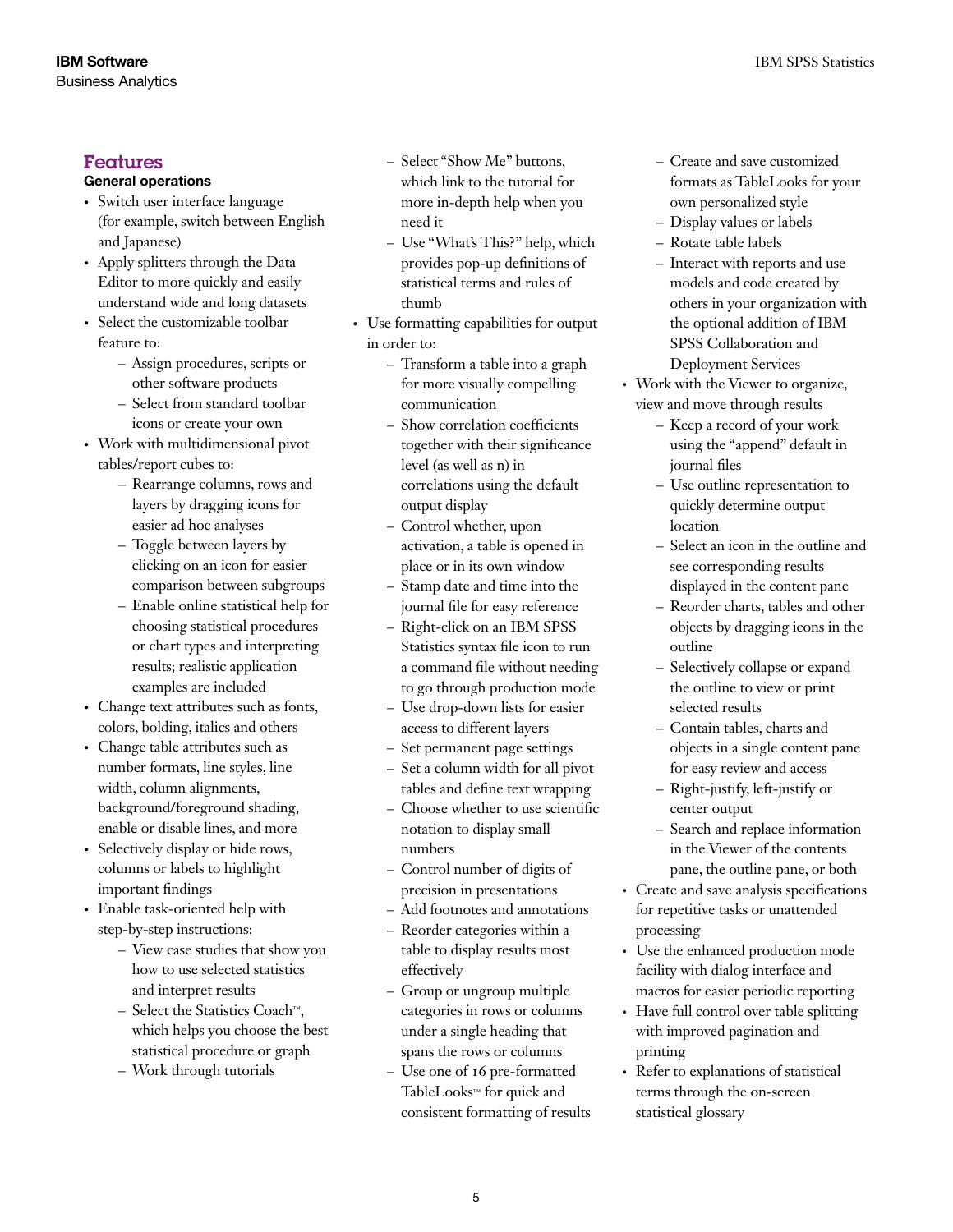### Features

### General operations

- • Switch user interface language (for example, switch between English and Japanese)
- Apply splitters through the Data Editor to more quickly and easily understand wide and long datasets
- Select the customizable toolbar feature to:
	- Assign procedures, scripts or other software products
	- Select from standard toolbar icons or create your own
- • Work with multidimensional pivot tables/report cubes to:
	- Rearrange columns, rows and layers by dragging icons for easier ad hoc analyses
	- Toggle between layers by clicking on an icon for easier comparison between subgroups
	- Enable online statistical help for choosing statistical procedures or chart types and interpreting results; realistic application examples are included
- • Change text attributes such as fonts, colors, bolding, italics and others
- Change table attributes such as number formats, line styles, line width, column alignments, background/foreground shading, enable or disable lines, and more
- Selectively display or hide rows, columns or labels to highlight important findings
- • Enable task-oriented help with step-by-step instructions:
	- View case studies that show you how to use selected statistics and interpret results
	- Select the Statistics Coach™, which helps you choose the best statistical procedure or graph
	- Work through tutorials
- Select "Show Me" buttons, which link to the tutorial for more in-depth help when you need it
- Use "What's This?" help, which provides pop-up definitions of statistical terms and rules of thumb
- • Use formatting capabilities for output in order to:
	- Transform a table into a graph for more visually compelling communication
	- Show correlation coefficients together with their significance level (as well as n) in correlations using the default output display
	- Control whether, upon activation, a table is opened in place or in its own window
	- Stamp date and time into the journal file for easy reference
	- Right-click on an IBM SPSS Statistics syntax file icon to run a command file without needing to go through production mode
	- Use drop-down lists for easier access to different layers
	- Set permanent page settings
	- Set a column width for all pivot tables and define text wrapping
	- Choose whether to use scientific notation to display small numbers
	- Control number of digits of precision in presentations
	- Add footnotes and annotations
	- Reorder categories within a table to display results most effectively
	- Group or ungroup multiple categories in rows or columns under a single heading that spans the rows or columns
	- Use one of 16 pre-formatted TableLooks™ for quick and consistent formatting of results
- Create and save customized formats as TableLooks for your own personalized style
- Display values or labels
- Rotate table labels
- Interact with reports and use models and code created by others in your organization with the optional addition of IBM SPSS Collaboration and Deployment Services
- Work with the Viewer to organize, view and move through results
	- Keep a record of your work using the "append" default in journal files
	- Use outline representation to quickly determine output location
	- Select an icon in the outline and see corresponding results displayed in the content pane
	- Reorder charts, tables and other objects by dragging icons in the outline
	- Selectively collapse or expand the outline to view or print selected results
	- Contain tables, charts and objects in a single content pane for easy review and access
	- Right-justify, left-justify or center output
	- Search and replace information in the Viewer of the contents pane, the outline pane, or both
- • Create and save analysis specifications for repetitive tasks or unattended processing
- Use the enhanced production mode facility with dialog interface and macros for easier periodic reporting
- Have full control over table splitting with improved pagination and printing
- • Refer to explanations of statistical terms through the on-screen statistical glossary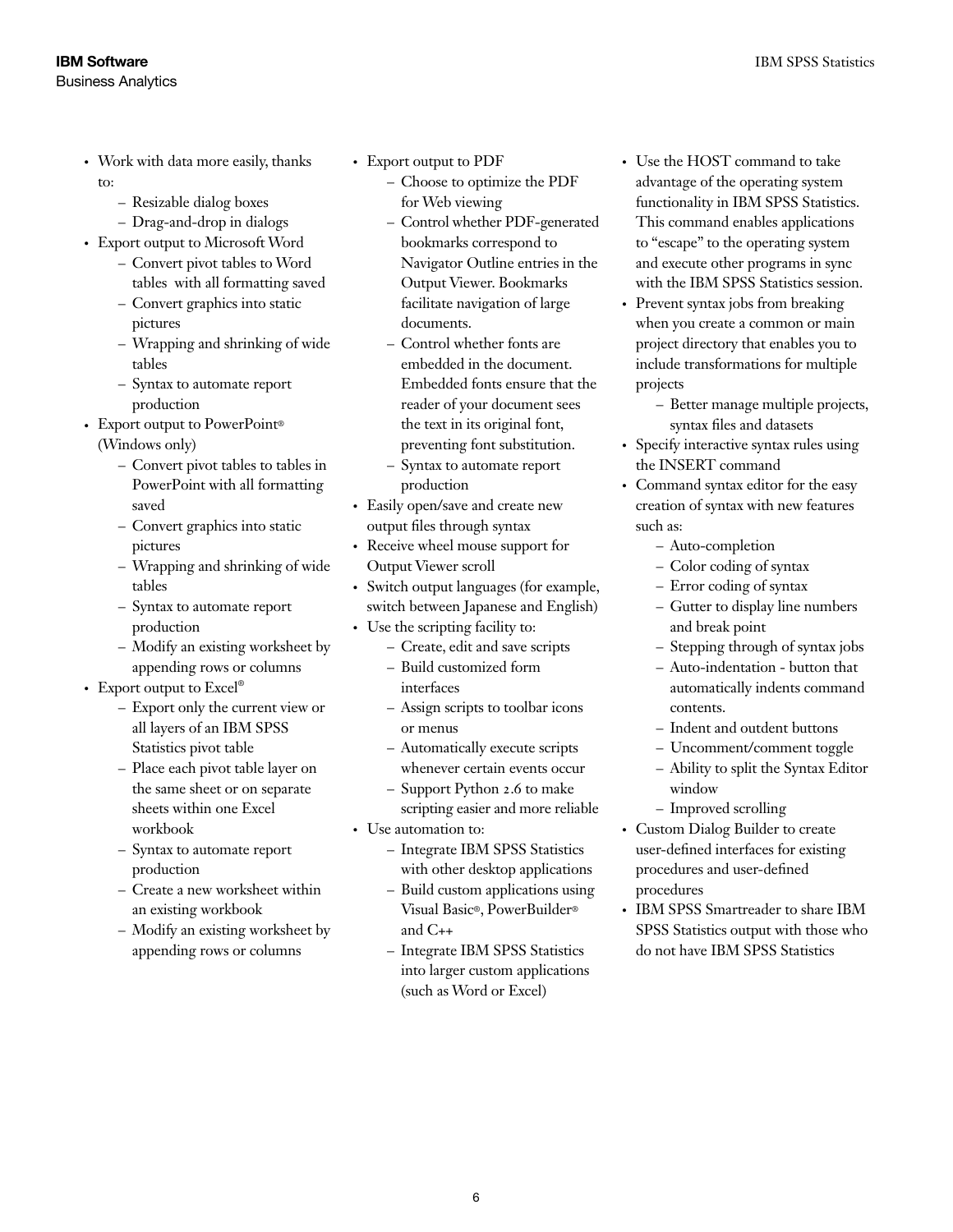- Work with data more easily, thanks to:
	- Resizable dialog boxes
	- Drag-and-drop in dialogs
- Export output to Microsoft Word
	- Convert pivot tables to Word tables with all formatting saved
	- Convert graphics into static pictures
	- Wrapping and shrinking of wide tables
	- Syntax to automate report production
- Export output to PowerPoint®
	- (Windows only)
		- Convert pivot tables to tables in PowerPoint with all formatting saved
		- Convert graphics into static pictures
		- Wrapping and shrinking of wide tables
		- Syntax to automate report production
		- Modify an existing worksheet by appending rows or columns
- Export output to Excel®
	- Export only the current view or all layers of an IBM SPSS Statistics pivot table
	- Place each pivot table layer on the same sheet or on separate sheets within one Excel workbook
	- Syntax to automate report production
	- Create a new worksheet within an existing workbook
	- Modify an existing worksheet by appending rows or columns
- • Export output to PDF
	- Choose to optimize the PDF for Web viewing
	- Control whether PDF-generated bookmarks correspond to Navigator Outline entries in the Output Viewer. Bookmarks facilitate navigation of large documents.
	- Control whether fonts are embedded in the document. Embedded fonts ensure that the reader of your document sees the text in its original font, preventing font substitution.
	- Syntax to automate report production
- Easily open/save and create new output files through syntax
- Receive wheel mouse support for Output Viewer scroll
- Switch output languages (for example, switch between Japanese and English)
- Use the scripting facility to:
	- Create, edit and save scripts
	- Build customized form interfaces
	- Assign scripts to toolbar icons or menus
	- Automatically execute scripts whenever certain events occur
	- Support Python 2.6 to make scripting easier and more reliable
- • Use automation to:
	- Integrate IBM SPSS Statistics with other desktop applications
	- Build custom applications using Visual Basic®, PowerBuilder® and C++
	- Integrate IBM SPSS Statistics into larger custom applications (such as Word or Excel)
- Use the HOST command to take advantage of the operating system functionality in IBM SPSS Statistics. This command enables applications to "escape" to the operating system and execute other programs in sync with the IBM SPSS Statistics session.
- Prevent syntax jobs from breaking when you create a common or main project directory that enables you to include transformations for multiple projects
	- Better manage multiple projects, syntax files and datasets
- • Specify interactive syntax rules using the INSERT command
- Command syntax editor for the easy creation of syntax with new features such as:
	- Auto-completion
	- Color coding of syntax
	- Error coding of syntax
	- Gutter to display line numbers and break point
	- Stepping through of syntax jobs
	- Auto-indentation button that automatically indents command contents.
	- Indent and outdent buttons
	- Uncomment/comment toggle
	- Ability to split the Syntax Editor window
	- Improved scrolling
- Custom Dialog Builder to create user-defined interfaces for existing procedures and user-defined procedures
- IBM SPSS Smartreader to share IBM SPSS Statistics output with those who do not have IBM SPSS Statistics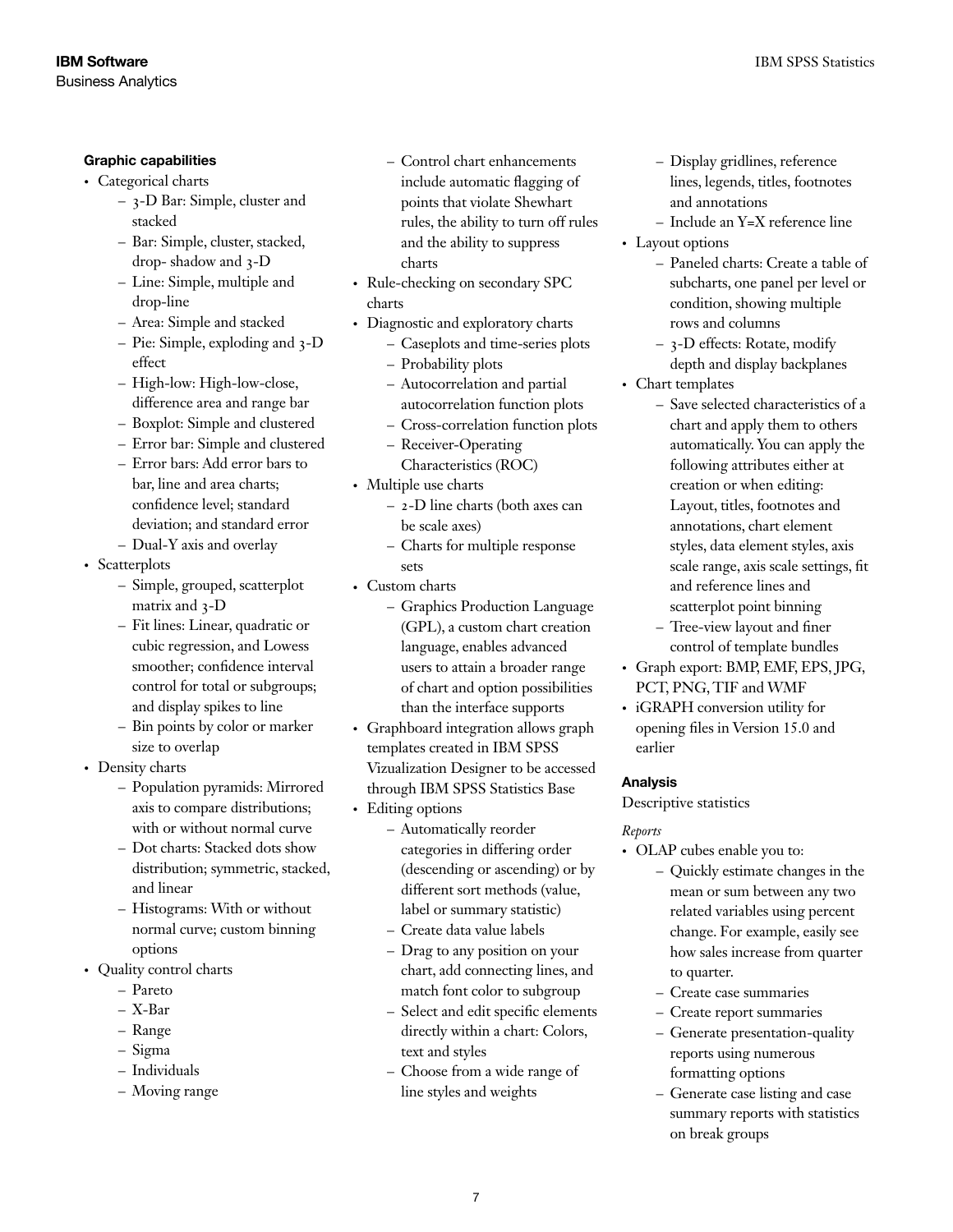### Graphic capabilities

- Categorical charts
	- 3-D Bar: Simple, cluster and stacked
	- Bar: Simple, cluster, stacked, drop- shadow and 3-D
	- Line: Simple, multiple and drop-line
	- Area: Simple and stacked
	- Pie: Simple, exploding and 3-D effect
	- High-low: High-low-close, difference area and range bar
	- Boxplot: Simple and clustered
	- Error bar: Simple and clustered
	- Error bars: Add error bars to bar, line and area charts; confidence level; standard deviation; and standard error
	- Dual-Y axis and overlay

• Scatterplots

- Simple, grouped, scatterplot matrix and 3-D
- Fit lines: Linear, quadratic or cubic regression, and Lowess smoother; confidence interval control for total or subgroups; and display spikes to line
- Bin points by color or marker size to overlap
- Density charts
	- Population pyramids: Mirrored axis to compare distributions; with or without normal curve
	- Dot charts: Stacked dots show distribution; symmetric, stacked, and linear
	- Histograms: With or without normal curve; custom binning options
- Quality control charts
	- Pareto
	- X-Bar
	- Range
	- Sigma
	- Individuals
	- Moving range
- Control chart enhancements include automatic flagging of points that violate Shewhart rules, the ability to turn off rules and the ability to suppress charts
- Rule-checking on secondary SPC charts
- Diagnostic and exploratory charts
	- Caseplots and time-series plots
	- Probability plots
	- Autocorrelation and partial autocorrelation function plots
	- Cross-correlation function plots
	- Receiver-Operating
	- Characteristics (ROC)
- Multiple use charts
	- 2-D line charts (both axes can be scale axes)
	- Charts for multiple response sets
- Custom charts
	- Graphics Production Language (GPL), a custom chart creation language, enables advanced users to attain a broader range of chart and option possibilities than the interface supports
- • Graphboard integration allows graph templates created in IBM SPSS Vizualization Designer to be accessed through IBM SPSS Statistics Base
- Editing options
	- Automatically reorder categories in differing order (descending or ascending) or by different sort methods (value, label or summary statistic)
	- Create data value labels
	- Drag to any position on your chart, add connecting lines, and match font color to subgroup
	- Select and edit specific elements directly within a chart: Colors, text and styles
	- Choose from a wide range of line styles and weights
- Display gridlines, reference lines, legends, titles, footnotes and annotations
- Include an Y=X reference line
- Layout options
	- Paneled charts: Create a table of subcharts, one panel per level or condition, showing multiple rows and columns
	- 3-D effects: Rotate, modify depth and display backplanes
- Chart templates
	- Save selected characteristics of a chart and apply them to others automatically. You can apply the following attributes either at creation or when editing: Layout, titles, footnotes and annotations, chart element styles, data element styles, axis scale range, axis scale settings, fit and reference lines and scatterplot point binning
	- Tree-view layout and finer control of template bundles
- • Graph export: BMP, EMF, EPS, JPG, PCT, PNG, TIF and WMF
- iGRAPH conversion utility for opening files in Version 15.0 and earlier

### Analysis

Descriptive statistics

### *Reports*

- OLAP cubes enable you to:
	- Quickly estimate changes in the mean or sum between any two related variables using percent change. For example, easily see how sales increase from quarter to quarter.
	- Create case summaries
	- Create report summaries
	- Generate presentation-quality reports using numerous formatting options
	- Generate case listing and case summary reports with statistics on break groups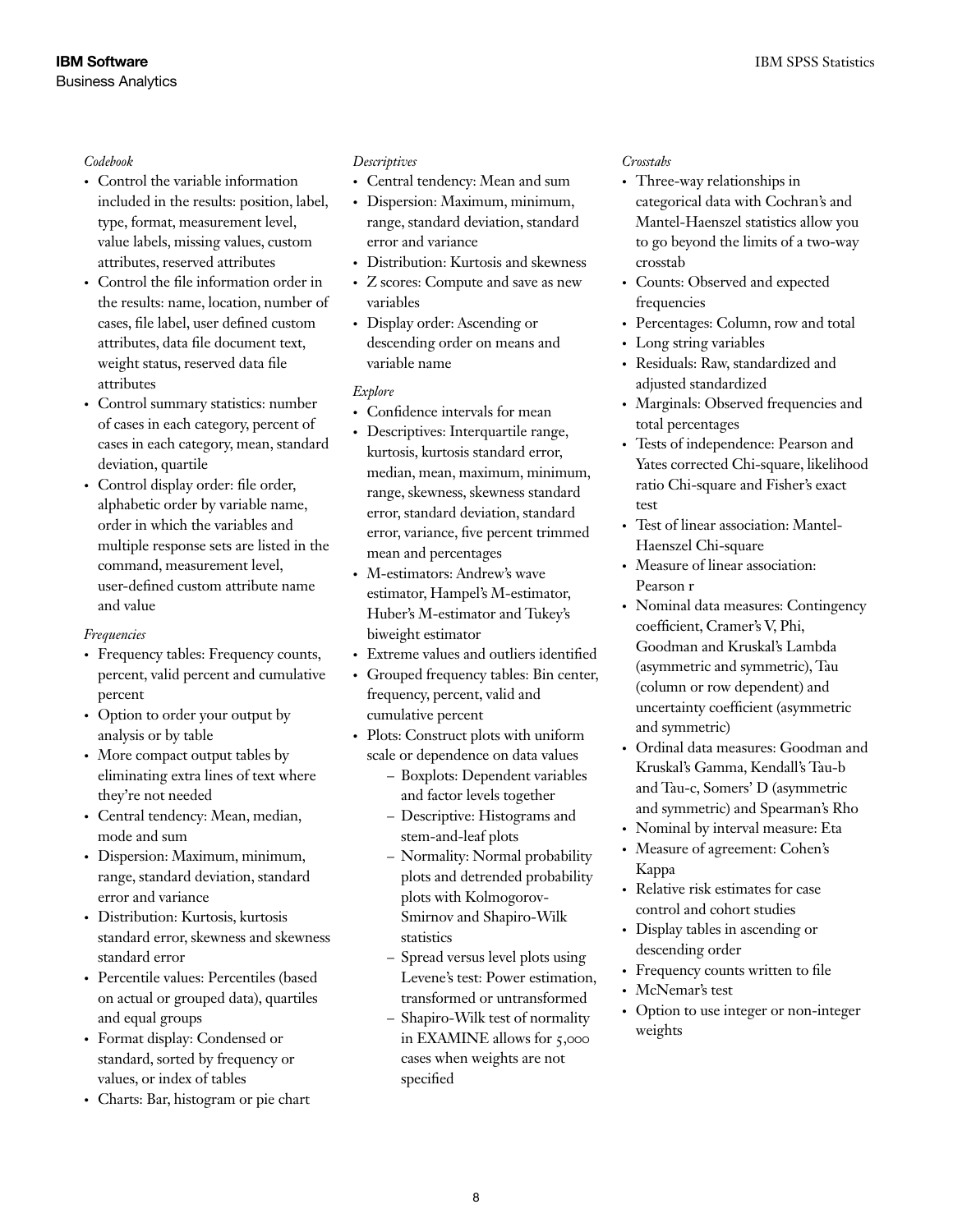#### *Codebook*

- • Control the variable information included in the results: position, label, type, format, measurement level, value labels, missing values, custom attributes, reserved attributes
- Control the file information order in the results: name, location, number of cases, file label, user defined custom attributes, data file document text, weight status, reserved data file attributes
- • Control summary statistics: number of cases in each category, percent of cases in each category, mean, standard deviation, quartile
- Control display order: file order, alphabetic order by variable name, order in which the variables and multiple response sets are listed in the command, measurement level, user-defined custom attribute name and value

### *Frequencies*

- Frequency tables: Frequency counts, percent, valid percent and cumulative percent
- Option to order your output by analysis or by table
- More compact output tables by eliminating extra lines of text where they're not needed
- Central tendency: Mean, median, mode and sum
- • Dispersion: Maximum, minimum, range, standard deviation, standard error and variance
- • Distribution: Kurtosis, kurtosis standard error, skewness and skewness standard error
- • Percentile values: Percentiles (based on actual or grouped data), quartiles and equal groups
- Format display: Condensed or standard, sorted by frequency or values, or index of tables
- • Charts: Bar, histogram or pie chart

### *Descriptives*

- Central tendency: Mean and sum
- • Dispersion: Maximum, minimum, range, standard deviation, standard error and variance
- Distribution: Kurtosis and skewness
- Z scores: Compute and save as new variables
- Display order: Ascending or descending order on means and variable name

### *Explore*

- • Confidence intervals for mean
- Descriptives: Interquartile range, kurtosis, kurtosis standard error, median, mean, maximum, minimum, range, skewness, skewness standard error, standard deviation, standard error, variance, five percent trimmed mean and percentages
- M-estimators: Andrew's wave estimator, Hampel's M-estimator, Huber's M-estimator and Tukey's biweight estimator
- Extreme values and outliers identified
- Grouped frequency tables: Bin center, frequency, percent, valid and cumulative percent
- Plots: Construct plots with uniform scale or dependence on data values
	- Boxplots: Dependent variables and factor levels together
	- Descriptive: Histograms and stem-and-leaf plots
	- Normality: Normal probability plots and detrended probability plots with Kolmogorov-Smirnov and Shapiro-Wilk statistics
	- Spread versus level plots using Levene's test: Power estimation, transformed or untransformed
	- Shapiro-Wilk test of normality in EXAMINE allows for 5,000 cases when weights are not specified

### *Crosstabs*

- Three-way relationships in categorical data with Cochran's and Mantel-Haenszel statistics allow you to go beyond the limits of a two-way crosstab
- • Counts: Observed and expected frequencies
- Percentages: Column, row and total
- Long string variables
- Residuals: Raw, standardized and adjusted standardized
- • Marginals: Observed frequencies and total percentages
- • Tests of independence: Pearson and Yates corrected Chi-square, likelihood ratio Chi-square and Fisher's exact test
- Test of linear association: Mantel-Haenszel Chi-square
- Measure of linear association: Pearson r
- Nominal data measures: Contingency coefficient, Cramer's V, Phi, Goodman and Kruskal's Lambda (asymmetric and symmetric), Tau (column or row dependent) and uncertainty coefficient (asymmetric and symmetric)
- Ordinal data measures: Goodman and Kruskal's Gamma, Kendall's Tau-b and Tau-c, Somers' D (asymmetric and symmetric) and Spearman's Rho
- • Nominal by interval measure: Eta
- Measure of agreement: Cohen's Kappa
- Relative risk estimates for case control and cohort studies
- Display tables in ascending or descending order
- Frequency counts written to file
- McNemar's test
- • Option to use integer or non-integer weights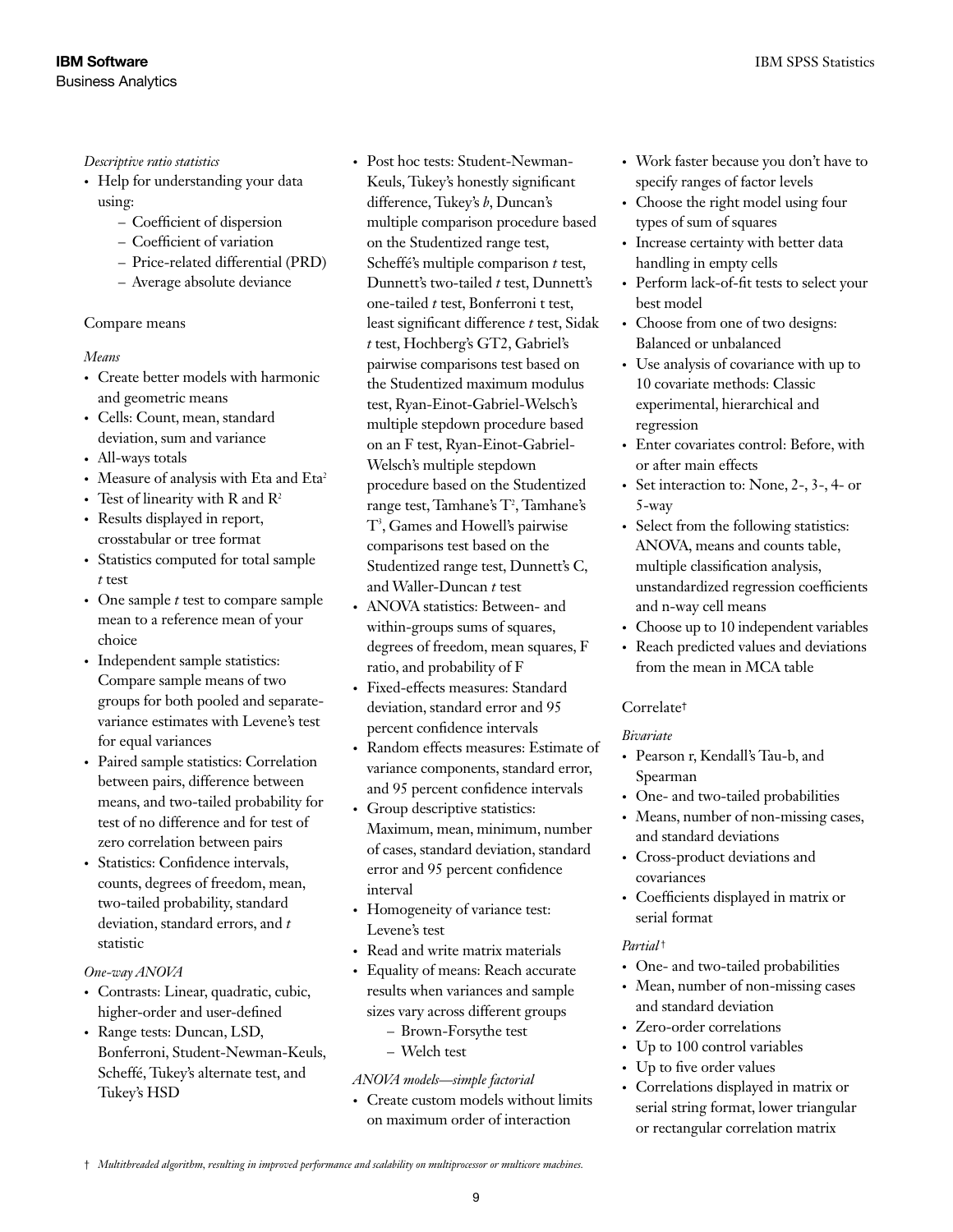*Descriptive ratio statistics*

- Help for understanding your data using:
	- Coefficient of dispersion
	- Coefficient of variation
	- Price-related differential (PRD)
	- Average absolute deviance

### Compare means

### *Means*

- • Create better models with harmonic and geometric means
- • Cells: Count, mean, standard deviation, sum and variance
- All-ways totals
- Measure of analysis with Eta and Eta<sup>2</sup>
- Test of linearity with R and  $R^2$
- Results displayed in report, crosstabular or tree format
- Statistics computed for total sample *t* test
- • One sample *t* test to compare sample mean to a reference mean of your choice
- Independent sample statistics: Compare sample means of two groups for both pooled and separatevariance estimates with Levene's test for equal variances
- • Paired sample statistics: Correlation between pairs, difference between means, and two-tailed probability for test of no difference and for test of zero correlation between pairs
- • Statistics: Confidence intervals, counts, degrees of freedom, mean, two-tailed probability, standard deviation, standard errors, and *t* statistic

### *One-way ANOVA*

- • Contrasts: Linear, quadratic, cubic, higher-order and user-defined
- Range tests: Duncan, LSD, Bonferroni, Student-Newman-Keuls, Scheffé, Tukey's alternate test, and Tukey's HSD
- Post hoc tests: Student-Newman-Keuls, Tukey's honestly significant difference, Tukey's *b*, Duncan's multiple comparison procedure based on the Studentized range test, Scheffé's multiple comparison *t* test, Dunnett's two-tailed *t* test, Dunnett's one-tailed *t* test, Bonferroni t test, least significant difference *t* test, Sidak *t* test, Hochberg's GT2, Gabriel's pairwise comparisons test based on the Studentized maximum modulus test, Ryan-Einot-Gabriel-Welsch's multiple stepdown procedure based on an F test, Ryan-Einot-Gabriel-Welsch's multiple stepdown procedure based on the Studentized range test, Tamhane's T<sup>2</sup>, Tamhane's T3 , Games and Howell's pairwise comparisons test based on the Studentized range test, Dunnett's C, and Waller-Duncan *t* test
- ANOVA statistics: Between- and within-groups sums of squares, degrees of freedom, mean squares, F ratio, and probability of F
- Fixed-effects measures: Standard deviation, standard error and 95 percent confidence intervals
- Random effects measures: Estimate of variance components, standard error, and 95 percent confidence intervals
- Group descriptive statistics: Maximum, mean, minimum, number of cases, standard deviation, standard error and 95 percent confidence interval
- Homogeneity of variance test: Levene's test
- Read and write matrix materials
- Equality of means: Reach accurate results when variances and sample sizes vary across different groups
	- Brown-Forsythe test
	- Welch test

### *ANOVA models—simple factorial*

• Create custom models without limits on maximum order of interaction

- • Work faster because you don't have to specify ranges of factor levels
- Choose the right model using four types of sum of squares
- Increase certainty with better data handling in empty cells
- Perform lack-of-fit tests to select your best model
- Choose from one of two designs: Balanced or unbalanced
- • Use analysis of covariance with up to 10 covariate methods: Classic experimental, hierarchical and regression
- • Enter covariates control: Before, with or after main effects
- Set interaction to: None,  $2-$ ,  $3-$ ,  $4-$  or 5-way
- Select from the following statistics: ANOVA, means and counts table, multiple classification analysis, unstandardized regression coefficients and n-way cell means
- Choose up to 10 independent variables
- • Reach predicted values and deviations from the mean in MCA table

### Correlate†

### *Bivariate*

- • Pearson r, Kendall's Tau-b, and Spearman
- One- and two-tailed probabilities

• Means, number of non-missing cases, and standard deviations

- • Cross-product deviations and covariances
- • Coefficients displayed in matrix or serial format

### *Partial* †

- One- and two-tailed probabilities
- Mean, number of non-missing cases and standard deviation
- • Zero-order correlations
- Up to 100 control variables
- Up to five order values
- • Correlations displayed in matrix or serial string format, lower triangular or rectangular correlation matrix

<sup>†</sup> *Multithreaded algorithm, resulting in improved performance and scalability on multiprocessor or multicore machines.*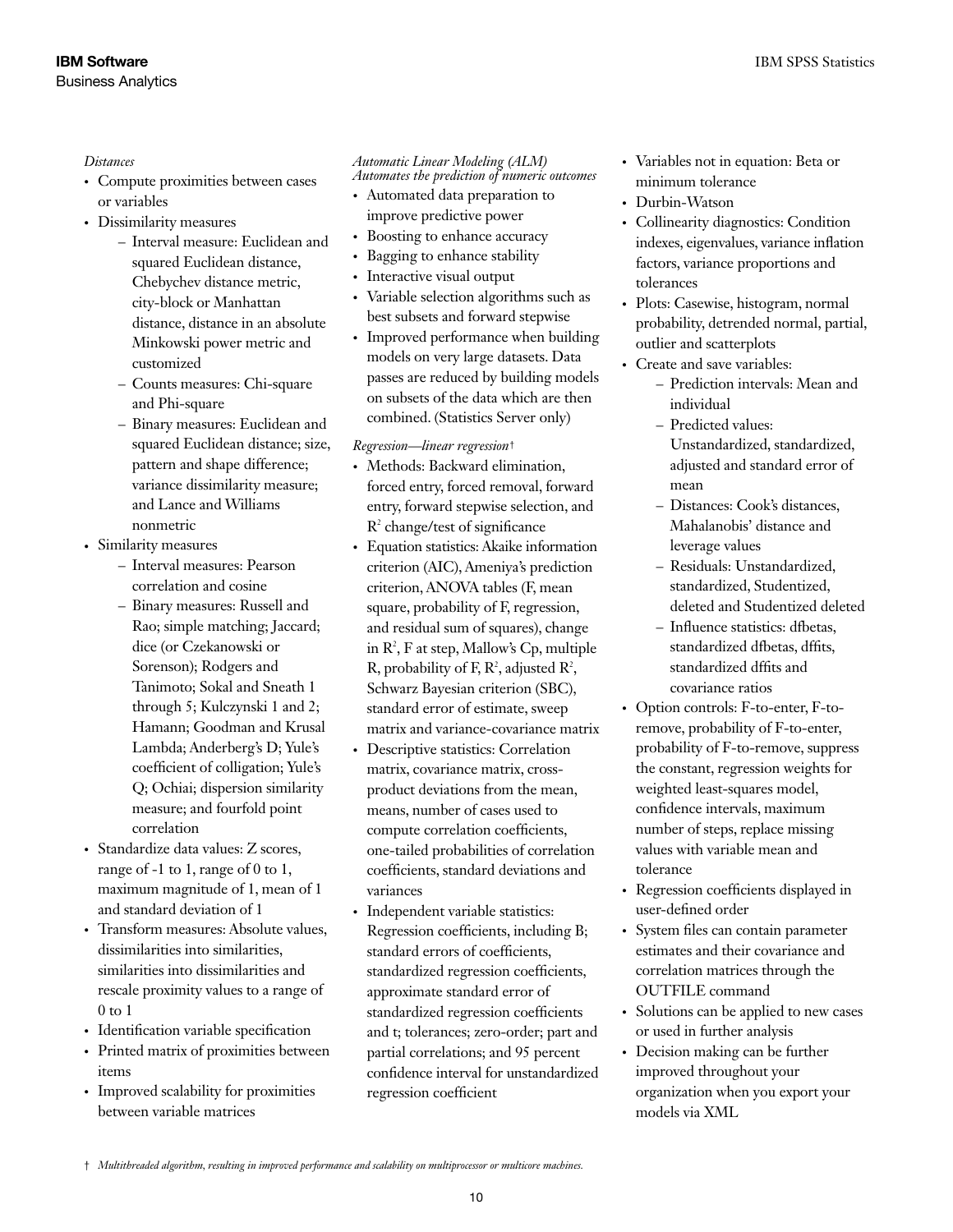### *Distances*

- Compute proximities between cases or variables
- Dissimilarity measures
	- Interval measure: Euclidean and squared Euclidean distance, Chebychev distance metric, city-block or Manhattan distance, distance in an absolute Minkowski power metric and customized
	- Counts measures: Chi-square and Phi-square
	- Binary measures: Euclidean and squared Euclidean distance; size, pattern and shape difference; variance dissimilarity measure; and Lance and Williams nonmetric
- • Similarity measures
	- Interval measures: Pearson correlation and cosine
	- Binary measures: Russell and Rao; simple matching; Jaccard; dice (or Czekanowski or Sorenson); Rodgers and Tanimoto; Sokal and Sneath 1 through 5; Kulczynski 1 and 2; Hamann; Goodman and Krusal Lambda; Anderberg's D; Yule's coefficient of colligation; Yule's Q; Ochiai; dispersion similarity measure; and fourfold point correlation
- Standardize data values: Z scores, range of -1 to 1, range of 0 to 1, maximum magnitude of 1, mean of 1 and standard deviation of 1
- Transform measures: Absolute values, dissimilarities into similarities, similarities into dissimilarities and rescale proximity values to a range of 0 to 1
- • Identification variable specification
- • Printed matrix of proximities between items
- Improved scalability for proximities between variable matrices

#### *Automatic Linear Modeling (ALM) Automates the prediction of numeric outcomes*

- • Automated data preparation to improve predictive power
- Boosting to enhance accuracy
- Bagging to enhance stability
- Interactive visual output
- Variable selection algorithms such as best subsets and forward stepwise
- Improved performance when building models on very large datasets. Data passes are reduced by building models on subsets of the data which are then combined. (Statistics Server only)

### *Regression—linear regression*†

- Methods: Backward elimination, forced entry, forced removal, forward entry, forward stepwise selection, and R2 change/test of significance
- Equation statistics: Akaike information criterion (AIC), Ameniya's prediction criterion, ANOVA tables (F, mean square, probability of F, regression, and residual sum of squares), change in  $\mathbb{R}^2$ , F at step, Mallow's Cp, multiple R, probability of F,  $\mathbb{R}^2$ , adjusted  $\mathbb{R}^2$ , Schwarz Bayesian criterion (SBC), standard error of estimate, sweep matrix and variance-covariance matrix
- • Descriptive statistics: Correlation matrix, covariance matrix, crossproduct deviations from the mean, means, number of cases used to compute correlation coefficients, one-tailed probabilities of correlation coefficients, standard deviations and variances
- Independent variable statistics: Regression coefficients, including B; standard errors of coefficients, standardized regression coefficients, approximate standard error of standardized regression coefficients and t; tolerances; zero-order; part and partial correlations; and 95 percent confidence interval for unstandardized regression coefficient
- • Variables not in equation: Beta or minimum tolerance
- Durbin-Watson
- • Collinearity diagnostics: Condition indexes, eigenvalues, variance inflation factors, variance proportions and tolerances
- Plots: Casewise, histogram, normal probability, detrended normal, partial, outlier and scatterplots
- Create and save variables:
	- Prediction intervals: Mean and individual
	- Predicted values: Unstandardized, standardized, adjusted and standard error of mean
	- Distances: Cook's distances, Mahalanobis' distance and leverage values
	- Residuals: Unstandardized, standardized, Studentized, deleted and Studentized deleted
	- Influence statistics: dfbetas, standardized dfbetas, dffits, standardized dffits and covariance ratios
- Option controls: F-to-enter, F-toremove, probability of F-to-enter, probability of F-to-remove, suppress the constant, regression weights for weighted least-squares model, confidence intervals, maximum number of steps, replace missing values with variable mean and tolerance
- • Regression coefficients displayed in user-defined order
- System files can contain parameter estimates and their covariance and correlation matrices through the OUTFILE command
- Solutions can be applied to new cases or used in further analysis
- Decision making can be further improved throughout your organization when you export your models via XML

<sup>†</sup> *Multithreaded algorithm, resulting in improved performance and scalability on multiprocessor or multicore machines.*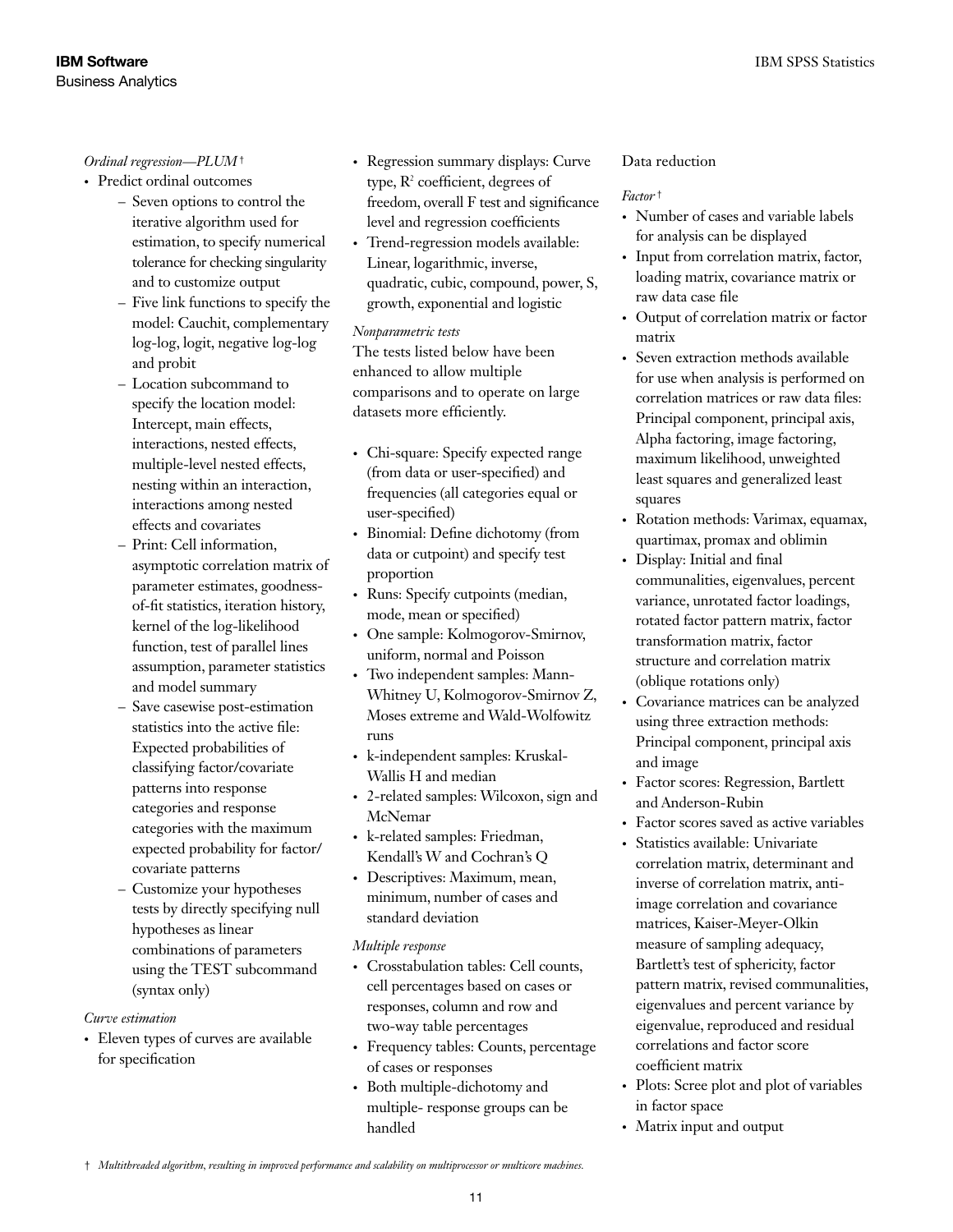### *Ordinal regression—PLUM*†

- Predict ordinal outcomes
	- Seven options to control the iterative algorithm used for estimation, to specify numerical tolerance for checking singularity and to customize output
	- Five link functions to specify the model: Cauchit, complementary log-log, logit, negative log-log and probit
	- Location subcommand to specify the location model: Intercept, main effects, interactions, nested effects, multiple-level nested effects, nesting within an interaction, interactions among nested effects and covariates
	- Print: Cell information, asymptotic correlation matrix of parameter estimates, goodnessof-fit statistics, iteration history, kernel of the log-likelihood function, test of parallel lines assumption, parameter statistics and model summary
	- Save casewise post-estimation statistics into the active file: Expected probabilities of classifying factor/covariate patterns into response categories and response categories with the maximum expected probability for factor/ covariate patterns
	- Customize your hypotheses tests by directly specifying null hypotheses as linear combinations of parameters using the TEST subcommand (syntax only)

### *Curve estimation*

• Eleven types of curves are available for specification

- Regression summary displays: Curve type,  $R^2$  coefficient, degrees of freedom, overall F test and significance level and regression coefficients
- Trend-regression models available: Linear, logarithmic, inverse, quadratic, cubic, compound, power, S, growth, exponential and logistic

### *Nonparametric tests*

The tests listed below have been enhanced to allow multiple comparisons and to operate on large datasets more efficiently.

- Chi-square: Specify expected range (from data or user-specified) and frequencies (all categories equal or user-specified)
- Binomial: Define dichotomy (from data or cutpoint) and specify test proportion
- Runs: Specify cutpoints (median, mode, mean or specified)
- One sample: Kolmogorov-Smirnov, uniform, normal and Poisson
- Two independent samples: Mann-Whitney U, Kolmogorov-Smirnov Z, Moses extreme and Wald-Wolfowitz runs
- k-independent samples: Kruskal-Wallis H and median
- • 2-related samples: Wilcoxon, sign and McNemar
- • k-related samples: Friedman, Kendall's W and Cochran's Q
- Descriptives: Maximum, mean, minimum, number of cases and standard deviation

### *Multiple response*

- • Crosstabulation tables: Cell counts, cell percentages based on cases or responses, column and row and two-way table percentages
- • Frequency tables: Counts, percentage of cases or responses
- • Both multiple-dichotomy and multiple- response groups can be handled

### Data reduction

### *Factor* †

- Number of cases and variable labels for analysis can be displayed
- • Input from correlation matrix, factor, loading matrix, covariance matrix or raw data case file
- • Output of correlation matrix or factor matrix
- Seven extraction methods available for use when analysis is performed on correlation matrices or raw data files: Principal component, principal axis, Alpha factoring, image factoring, maximum likelihood, unweighted least squares and generalized least squares
- • Rotation methods: Varimax, equamax, quartimax, promax and oblimin
- Display: Initial and final communalities, eigenvalues, percent variance, unrotated factor loadings, rotated factor pattern matrix, factor transformation matrix, factor structure and correlation matrix (oblique rotations only)
- • Covariance matrices can be analyzed using three extraction methods: Principal component, principal axis and image
- • Factor scores: Regression, Bartlett and Anderson-Rubin
- Factor scores saved as active variables
- • Statistics available: Univariate correlation matrix, determinant and inverse of correlation matrix, antiimage correlation and covariance matrices, Kaiser-Meyer-Olkin measure of sampling adequacy, Bartlett's test of sphericity, factor pattern matrix, revised communalities, eigenvalues and percent variance by eigenvalue, reproduced and residual correlations and factor score coefficient matrix
- Plots: Scree plot and plot of variables in factor space
- Matrix input and output

<sup>†</sup> *Multithreaded algorithm, resulting in improved performance and scalability on multiprocessor or multicore machines.*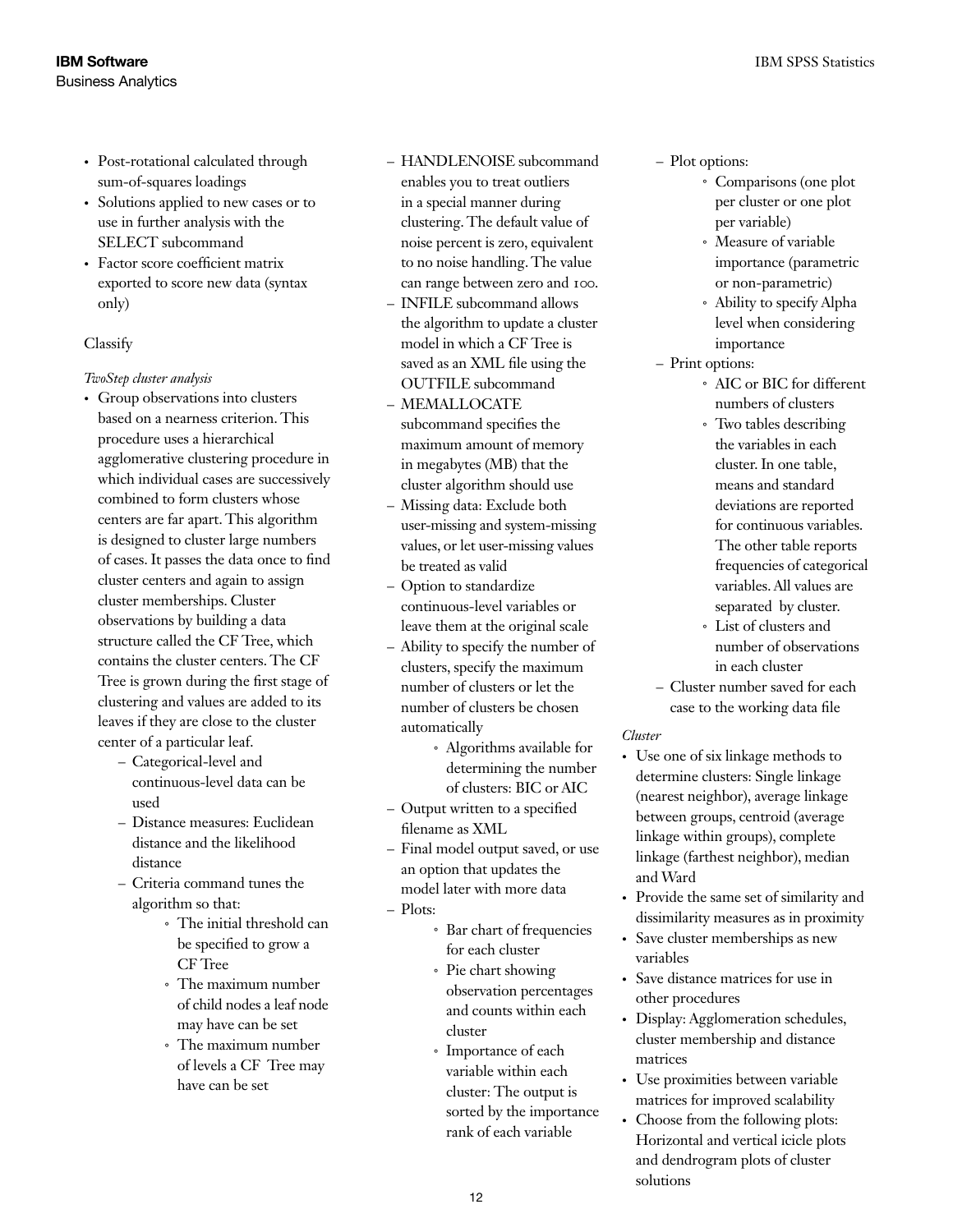- Post-rotational calculated through sum-of-squares loadings
- Solutions applied to new cases or to use in further analysis with the SELECT subcommand
- Factor score coefficient matrix exported to score new data (syntax only)

### Classify

### *TwoStep cluster analysis*

- Group observations into clusters based on a nearness criterion. This procedure uses a hierarchical agglomerative clustering procedure in which individual cases are successively combined to form clusters whose centers are far apart. This algorithm is designed to cluster large numbers of cases. It passes the data once to find cluster centers and again to assign cluster memberships. Cluster observations by building a data structure called the CF Tree, which contains the cluster centers. The CF Tree is grown during the first stage of clustering and values are added to its leaves if they are close to the cluster center of a particular leaf.
	- Categorical-level and continuous-level data can be used
	- Distance measures: Euclidean distance and the likelihood distance
	- Criteria command tunes the algorithm so that:
		- The initial threshold can *˚* be specified to grow a CF Tree
		- The maximum number *˚* of child nodes a leaf node may have can be set
		- The maximum number *˚* of levels a CF Tree may have can be set

## – HANDLENOISE subcommand

- enables you to treat outliers in a special manner during clustering. The default value of noise percent is zero, equivalent to no noise handling. The value can range between zero and 100.
- INFILE subcommand allows the algorithm to update a cluster model in which a CF Tree is saved as an XML file using the OUTFILE subcommand
- MEMALLOCATE subcommand specifies the maximum amount of memory in megabytes (MB) that the cluster algorithm should use
- Missing data: Exclude both user-missing and system-missing values, or let user-missing values be treated as valid
- Option to standardize continuous-level variables or leave them at the original scale
- Ability to specify the number of clusters, specify the maximum number of clusters or let the number of clusters be chosen automatically
	- Algorithms available for *˚* determining the number of clusters: BIC or AIC
- Output written to a specified filename as XML
- Final model output saved, or use an option that updates the model later with more data
- Plots:
	- Bar chart of frequencies *˚* for each cluster
	- Pie chart showing *˚* observation percentages and counts within each cluster
	- Importance of each *˚* variable within each cluster: The output is sorted by the importance rank of each variable

### – Plot options:

- Comparisons (one plot *˚* per cluster or one plot per variable)
- Measure of variable *˚* importance (parametric or non-parametric)
- Ability to specify Alpha *˚* level when considering importance
- Print options:
	- AIC or BIC for different *˚* numbers of clusters
	- Two tables describing *˚* the variables in each cluster. In one table, means and standard deviations are reported for continuous variables. The other table reports frequencies of categorical variables. All values are separated by cluster.
	- List of clusters and *˚* number of observations in each cluster
- Cluster number saved for each case to the working data file

### *Cluster*

- Use one of six linkage methods to determine clusters: Single linkage (nearest neighbor), average linkage between groups, centroid (average linkage within groups), complete linkage (farthest neighbor), median and Ward
- • Provide the same set of similarity and dissimilarity measures as in proximity
- • Save cluster memberships as new variables
- Save distance matrices for use in other procedures
- Display: Agglomeration schedules, cluster membership and distance matrices
- Use proximities between variable matrices for improved scalability
- Choose from the following plots: Horizontal and vertical icicle plots and dendrogram plots of cluster solutions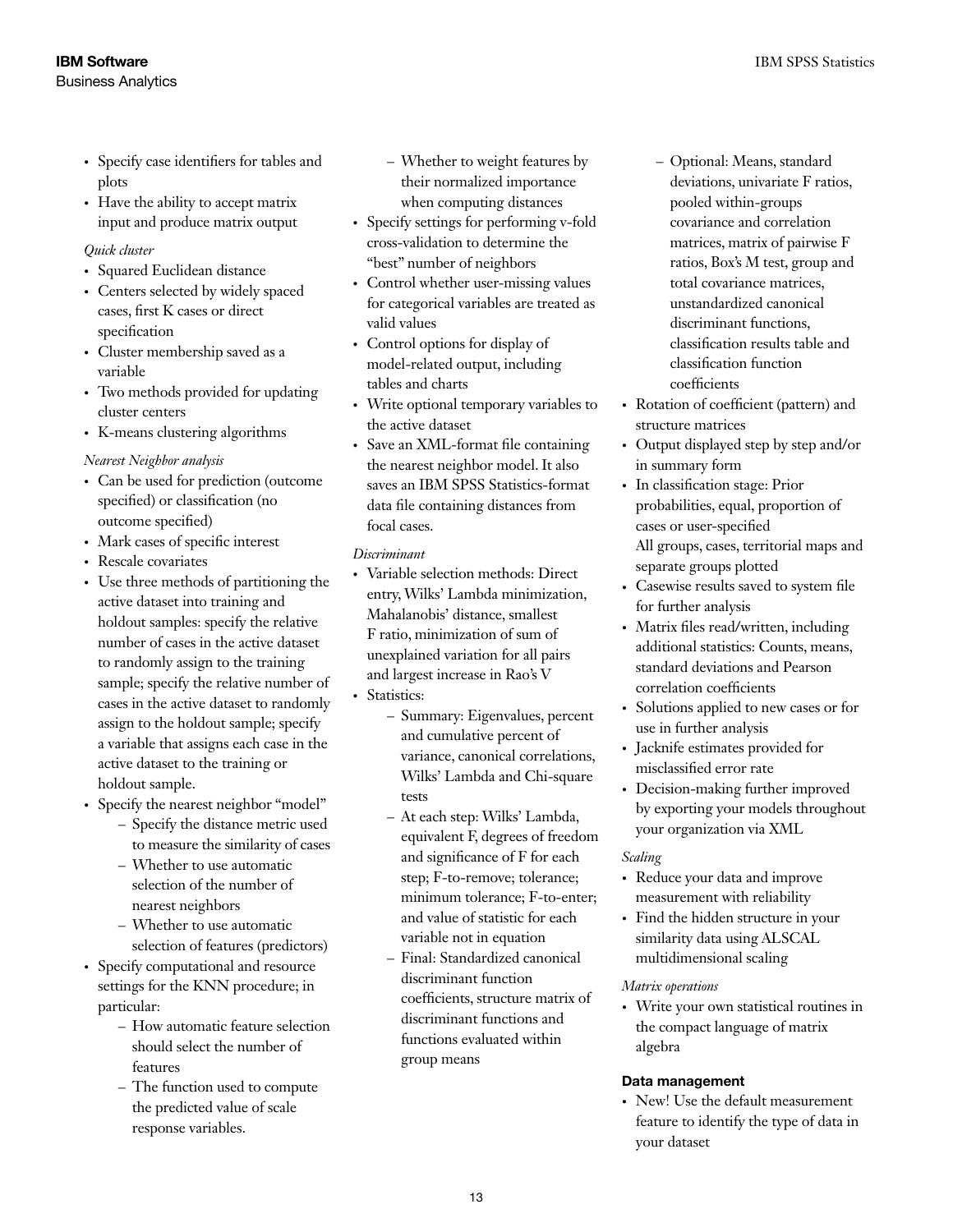- • Specify case identifiers for tables and plots
- Have the ability to accept matrix input and produce matrix output

### *Quick cluster*

- Squared Euclidean distance
- Centers selected by widely spaced cases, first K cases or direct specification
- Cluster membership saved as a variable
- Two methods provided for updating cluster centers
- • K-means clustering algorithms

### *Nearest Neighbor analysis*

- • Can be used for prediction (outcome specified) or classification (no outcome specified)
- Mark cases of specific interest
- Rescale covariates
- • Use three methods of partitioning the active dataset into training and holdout samples: specify the relative number of cases in the active dataset to randomly assign to the training sample; specify the relative number of cases in the active dataset to randomly assign to the holdout sample; specify a variable that assigns each case in the active dataset to the training or holdout sample.
- Specify the nearest neighbor "model"
	- Specify the distance metric used to measure the similarity of cases
	- Whether to use automatic selection of the number of nearest neighbors
	- Whether to use automatic selection of features (predictors)
- Specify computational and resource settings for the KNN procedure; in particular:
	- How automatic feature selection should select the number of features
	- The function used to compute the predicted value of scale response variables.
- Whether to weight features by their normalized importance when computing distances
- • Specify settings for performing v-fold cross-validation to determine the "best" number of neighbors
- Control whether user-missing values for categorical variables are treated as valid values
- Control options for display of model-related output, including tables and charts
- Write optional temporary variables to the active dataset
- • Save an XML-format file containing the nearest neighbor model. It also saves an IBM SPSS Statistics-format data file containing distances from focal cases.

### *Discriminant*

- • Variable selection methods: Direct entry, Wilks' Lambda minimization, Mahalanobis' distance, smallest F ratio, minimization of sum of unexplained variation for all pairs and largest increase in Rao's V • Statistics:
	- Summary: Eigenvalues, percent and cumulative percent of variance, canonical correlations, Wilks' Lambda and Chi-square tests
	- At each step: Wilks' Lambda, equivalent F, degrees of freedom and significance of F for each step; F-to-remove; tolerance; minimum tolerance; F-to-enter; and value of statistic for each variable not in equation
	- Final: Standardized canonical discriminant function coefficients, structure matrix of discriminant functions and functions evaluated within group means
- Optional: Means, standard deviations, univariate F ratios, pooled within-groups covariance and correlation matrices, matrix of pairwise F ratios, Box's M test, group and total covariance matrices, unstandardized canonical discriminant functions, classification results table and classification function coefficients
- Rotation of coefficient (pattern) and structure matrices
- • Output displayed step by step and/or in summary form
- • In classification stage: Prior probabilities, equal, proportion of cases or user-specified All groups, cases, territorial maps and separate groups plotted
- • Casewise results saved to system file for further analysis
- Matrix files read/written, including additional statistics: Counts, means, standard deviations and Pearson correlation coefficients
- • Solutions applied to new cases or for use in further analysis
- Jacknife estimates provided for misclassified error rate
- Decision-making further improved by exporting your models throughout your organization via XML

### *Scaling*

- • Reduce your data and improve measurement with reliability
- Find the hidden structure in your similarity data using ALSCAL multidimensional scaling

### *Matrix operations*

• Write your own statistical routines in the compact language of matrix algebra

### Data management

• New! Use the default measurement feature to identify the type of data in your dataset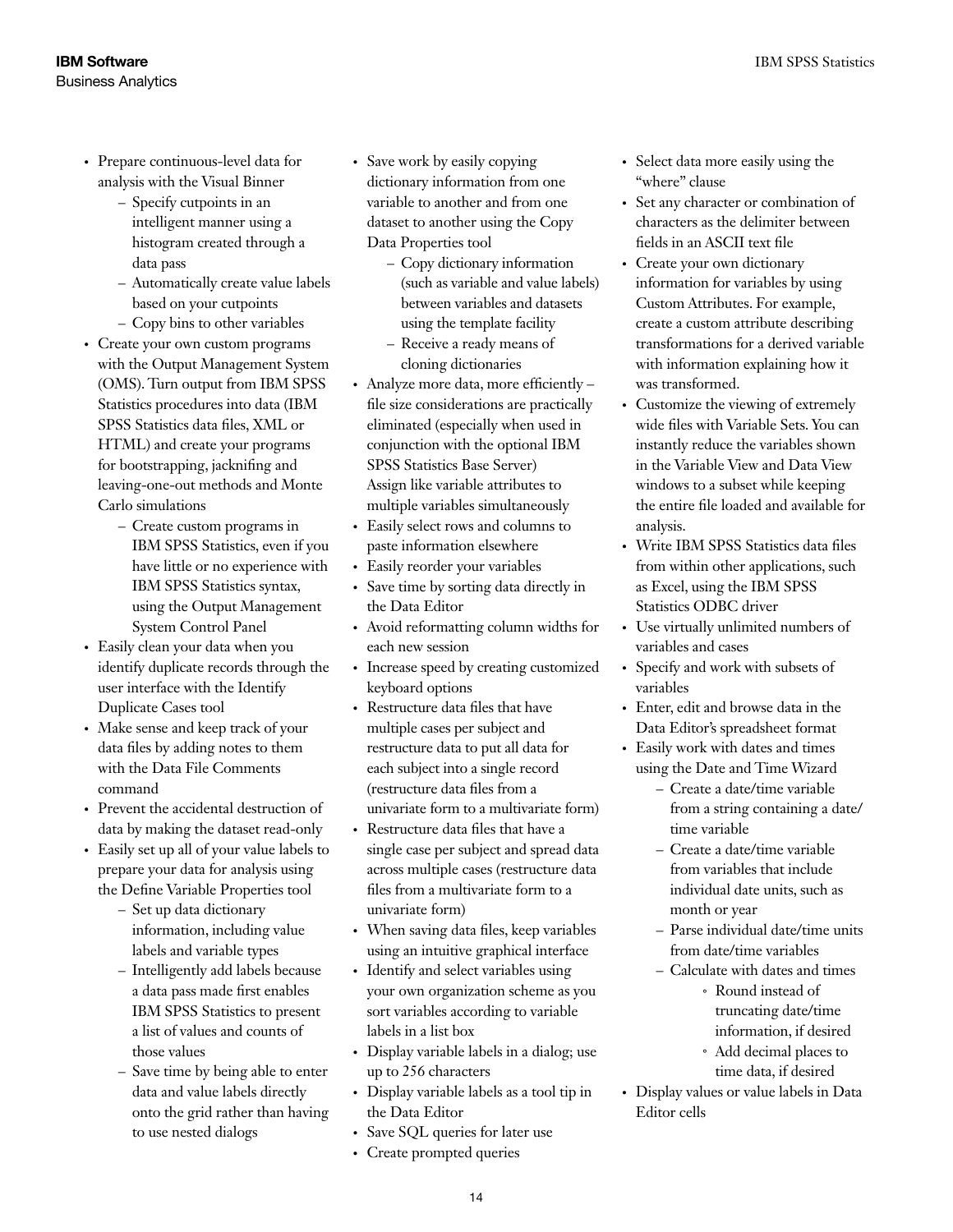- • Prepare continuous-level data for analysis with the Visual Binner
	- Specify cutpoints in an intelligent manner using a histogram created through a data pass
	- Automatically create value labels based on your cutpoints
	- Copy bins to other variables
- Create your own custom programs with the Output Management System (OMS). Turn output from IBM SPSS Statistics procedures into data (IBM SPSS Statistics data files, XML or HTML) and create your programs for bootstrapping, jacknifing and leaving-one-out methods and Monte Carlo simulations
	- Create custom programs in IBM SPSS Statistics, even if you have little or no experience with IBM SPSS Statistics syntax, using the Output Management System Control Panel
- Easily clean your data when you identify duplicate records through the user interface with the Identify Duplicate Cases tool
- Make sense and keep track of your data files by adding notes to them with the Data File Comments command
- Prevent the accidental destruction of data by making the dataset read-only
- Easily set up all of your value labels to prepare your data for analysis using the Define Variable Properties tool
	- Set up data dictionary information, including value labels and variable types
	- Intelligently add labels because a data pass made first enables IBM SPSS Statistics to present a list of values and counts of those values
	- Save time by being able to enter data and value labels directly onto the grid rather than having to use nested dialogs
- Save work by easily copying dictionary information from one variable to another and from one dataset to another using the Copy Data Properties tool
	- Copy dictionary information (such as variable and value labels) between variables and datasets using the template facility
	- Receive a ready means of cloning dictionaries
- • Analyze more data, more efficiently file size considerations are practically eliminated (especially when used in conjunction with the optional IBM SPSS Statistics Base Server) Assign like variable attributes to multiple variables simultaneously
- Easily select rows and columns to paste information elsewhere
- Easily reorder your variables
- • Save time by sorting data directly in the Data Editor
- • Avoid reformatting column widths for each new session
- Increase speed by creating customized keyboard options
- Restructure data files that have multiple cases per subject and restructure data to put all data for each subject into a single record (restructure data files from a univariate form to a multivariate form)
- • Restructure data files that have a single case per subject and spread data across multiple cases (restructure data files from a multivariate form to a univariate form)
- When saving data files, keep variables using an intuitive graphical interface
- Identify and select variables using your own organization scheme as you sort variables according to variable labels in a list box
- Display variable labels in a dialog; use up to 256 characters
- Display variable labels as a tool tip in the Data Editor
- Save SQL queries for later use
- • Create prompted queries
- • Select data more easily using the "where" clause
- Set any character or combination of characters as the delimiter between fields in an ASCII text file
- Create your own dictionary information for variables by using Custom Attributes. For example, create a custom attribute describing transformations for a derived variable with information explaining how it was transformed.
- Customize the viewing of extremely wide files with Variable Sets. You can instantly reduce the variables shown in the Variable View and Data View windows to a subset while keeping the entire file loaded and available for analysis.
- Write IBM SPSS Statistics data files from within other applications, such as Excel, using the IBM SPSS Statistics ODBC driver
- Use virtually unlimited numbers of variables and cases
- Specify and work with subsets of variables
- • Enter, edit and browse data in the Data Editor's spreadsheet format
- Easily work with dates and times using the Date and Time Wizard
	- Create a date/time variable from a string containing a date/ time variable
	- Create a date/time variable from variables that include individual date units, such as month or year
	- Parse individual date/time units from date/time variables
	- Calculate with dates and times Round instead of *˚* truncating date/time information, if desired
		- Add decimal places to *˚* time data, if desired
- Display values or value labels in Data Editor cells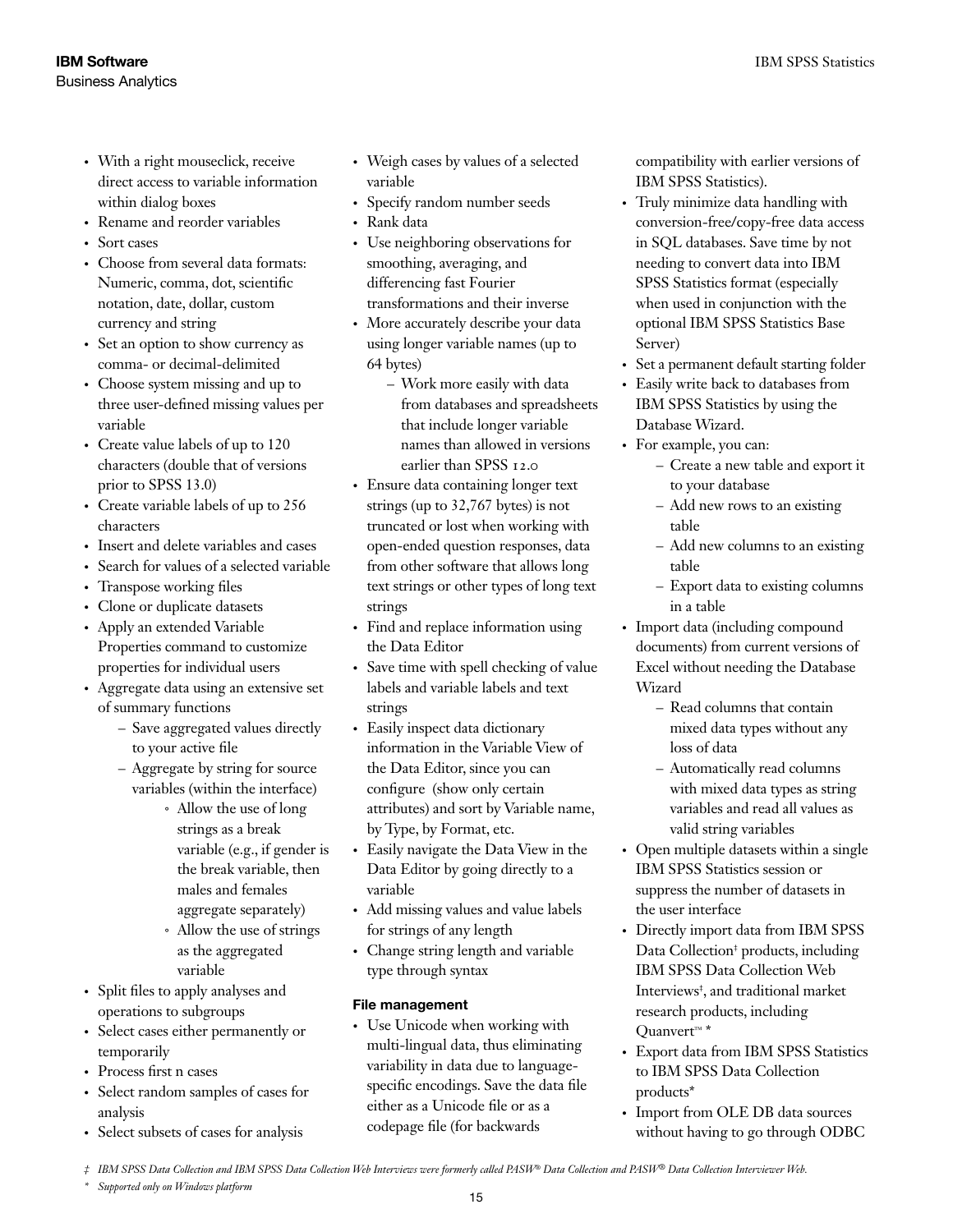- With a right mouseclick, receive direct access to variable information within dialog boxes
- Rename and reorder variables
- Sort cases
- Choose from several data formats: Numeric, comma, dot, scientific notation, date, dollar, custom currency and string
- Set an option to show currency as comma- or decimal-delimited
- Choose system missing and up to three user-defined missing values per variable
- Create value labels of up to 120 characters (double that of versions prior to SPSS 13.0)
- Create variable labels of up to 256 characters
- Insert and delete variables and cases
- • Search for values of a selected variable
- Transpose working files
- Clone or duplicate datasets
- Apply an extended Variable Properties command to customize properties for individual users
- • Aggregate data using an extensive set of summary functions
	- Save aggregated values directly to your active file
	- Aggregate by string for source variables (within the interface)
		- Allow the use of long *˚* strings as a break variable (e.g., if gender is the break variable, then males and females aggregate separately)
		- Allow the use of strings *˚* as the aggregated variable
- • Split files to apply analyses and operations to subgroups
- • Select cases either permanently or temporarily
- Process first n cases
- • Select random samples of cases for analysis
- Select subsets of cases for analysis
- Weigh cases by values of a selected variable
- Specify random number seeds
- Rank data
- Use neighboring observations for smoothing, averaging, and differencing fast Fourier transformations and their inverse
- More accurately describe your data using longer variable names (up to 64 bytes)
	- Work more easily with data from databases and spreadsheets that include longer variable names than allowed in versions earlier than SPSS 12.0
- • Ensure data containing longer text strings (up to 32,767 bytes) is not truncated or lost when working with open-ended question responses, data from other software that allows long text strings or other types of long text strings
- Find and replace information using the Data Editor
- Save time with spell checking of value labels and variable labels and text strings
- Easily inspect data dictionary information in the Variable View of the Data Editor, since you can configure (show only certain attributes) and sort by Variable name, by Type, by Format, etc.
- Easily navigate the Data View in the Data Editor by going directly to a variable
- • Add missing values and value labels for strings of any length
- Change string length and variable type through syntax

### File management

• Use Unicode when working with multi-lingual data, thus eliminating variability in data due to languagespecific encodings. Save the data file either as a Unicode file or as a codepage file (for backwards

compatibility with earlier versions of IBM SPSS Statistics).

- Truly minimize data handling with conversion-free/copy-free data access in SQL databases. Save time by not needing to convert data into IBM SPSS Statistics format (especially when used in conjunction with the optional IBM SPSS Statistics Base Server)
- Set a permanent default starting folder
- • Easily write back to databases from IBM SPSS Statistics by using the Database Wizard.
- For example, you can:
	- Create a new table and export it to your database
	- Add new rows to an existing table
	- Add new columns to an existing table
	- Export data to existing columns in a table
- Import data (including compound documents) from current versions of Excel without needing the Database Wizard
	- Read columns that contain mixed data types without any loss of data
	- Automatically read columns with mixed data types as string variables and read all values as valid string variables
- Open multiple datasets within a single IBM SPSS Statistics session or suppress the number of datasets in the user interface
- Directly import data from IBM SPSS Data Collection<sup>‡</sup> products, including IBM SPSS Data Collection Web Interviews‡ , and traditional market research products, including Quanvert™ \*
- • Export data from IBM SPSS Statistics to IBM SPSS Data Collection products\*
- Import from OLE DB data sources without having to go through ODBC

*\* Supported only on Windows platform*

*<sup>‡</sup> IBM SPSS Data Collection and IBM SPSS Data Collection Web Interviews were formerly called PASW® Data Collection and PASW® Data Collection Interviewer Web.*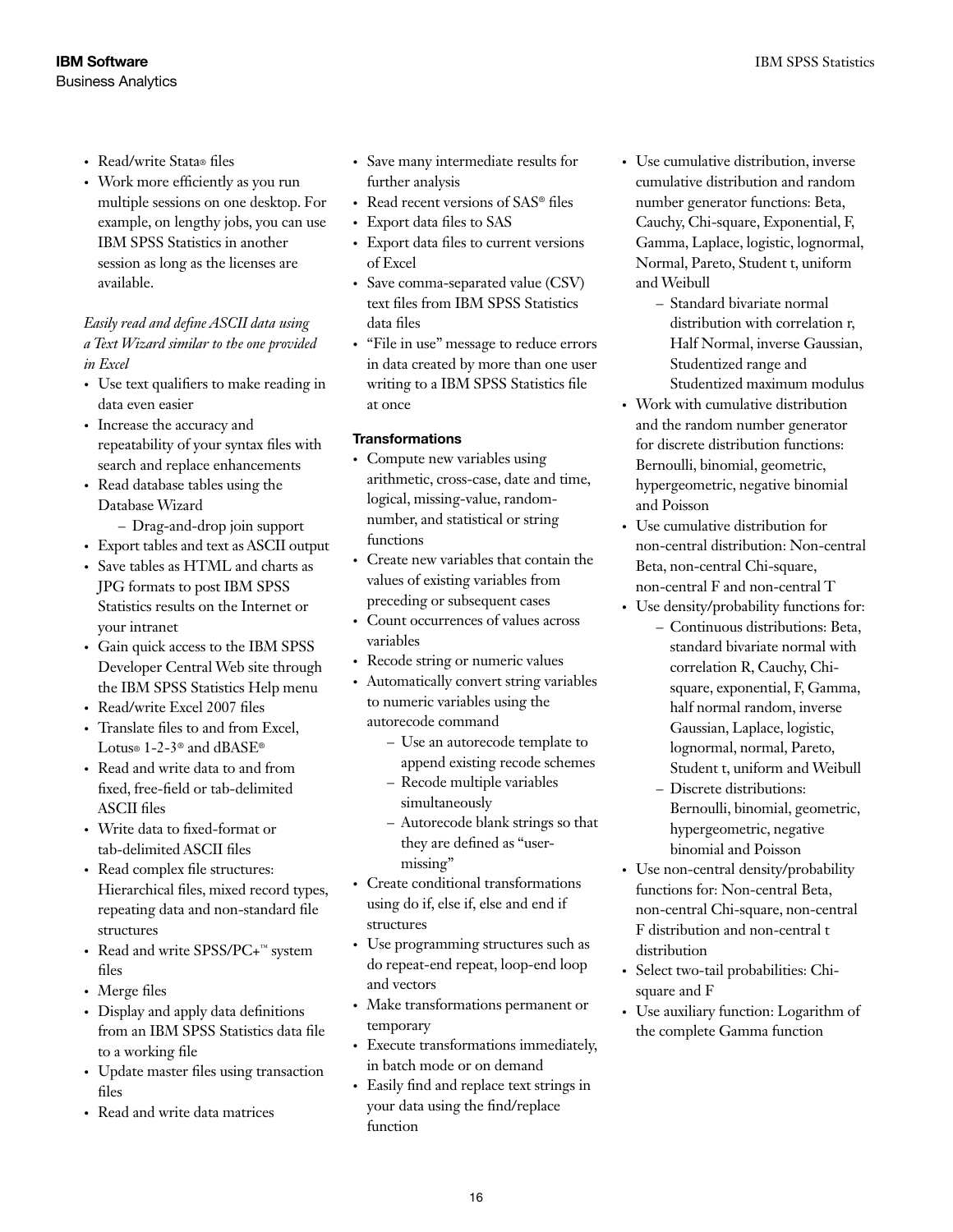- Read/write Stata® files
- Work more efficiently as you run multiple sessions on one desktop. For example, on lengthy jobs, you can use IBM SPSS Statistics in another session as long as the licenses are available.

### *Easily read and define ASCII data using a Text Wizard similar to the one provided in Excel*

- Use text qualifiers to make reading in data even easier
- Increase the accuracy and repeatability of your syntax files with search and replace enhancements
- Read database tables using the Database Wizard

– Drag-and-drop join support

- • Export tables and text as ASCII output
- • Save tables as HTML and charts as JPG formats to post IBM SPSS Statistics results on the Internet or your intranet
- Gain quick access to the IBM SPSS Developer Central Web site through the IBM SPSS Statistics Help menu
- Read/write Excel 2007 files
- Translate files to and from Excel. Lotus® 1-2-3® and dBASE®
- Read and write data to and from fixed, free-field or tab-delimited ASCII files
- Write data to fixed-format or tab-delimited ASCII files
- Read complex file structures: Hierarchical files, mixed record types, repeating data and non-standard file structures
- Read and write SPSS/PC+™ system files
- Merge files
- • Display and apply data definitions from an IBM SPSS Statistics data file to a working file
- • Update master files using transaction files
- Read and write data matrices
- • Save many intermediate results for further analysis
- Read recent versions of SAS® files
- • Export data files to SAS
- • Export data files to current versions of Excel
- Save comma-separated value (CSV) text files from IBM SPSS Statistics data files
- • "File in use" message to reduce errors in data created by more than one user writing to a IBM SPSS Statistics file at once

### **Transformations**

- Compute new variables using arithmetic, cross-case, date and time, logical, missing-value, randomnumber, and statistical or string functions
- Create new variables that contain the values of existing variables from preceding or subsequent cases
- Count occurrences of values across variables
- Recode string or numeric values
- Automatically convert string variables to numeric variables using the autorecode command
	- Use an autorecode template to append existing recode schemes
	- Recode multiple variables simultaneously
	- Autorecode blank strings so that they are defined as "usermissing"
- Create conditional transformations using do if, else if, else and end if structures
- • Use programming structures such as do repeat-end repeat, loop-end loop and vectors
- Make transformations permanent or temporary
- • Execute transformations immediately, in batch mode or on demand
- • Easily find and replace text strings in your data using the find/replace function
- • Use cumulative distribution, inverse cumulative distribution and random number generator functions: Beta, Cauchy, Chi-square, Exponential, F, Gamma, Laplace, logistic, lognormal, Normal, Pareto, Student t, uniform and Weibull
	- Standard bivariate normal distribution with correlation r, Half Normal, inverse Gaussian, Studentized range and Studentized maximum modulus
- Work with cumulative distribution and the random number generator for discrete distribution functions: Bernoulli, binomial, geometric, hypergeometric, negative binomial and Poisson
- Use cumulative distribution for non-central distribution: Non-central Beta, non-central Chi-square, non-central F and non-central T
- Use density/probability functions for:
	- Continuous distributions: Beta, standard bivariate normal with correlation R, Cauchy, Chisquare, exponential, F, Gamma, half normal random, inverse Gaussian, Laplace, logistic, lognormal, normal, Pareto, Student t, uniform and Weibull
	- Discrete distributions: Bernoulli, binomial, geometric, hypergeometric, negative binomial and Poisson
- Use non-central density/probability functions for: Non-central Beta, non-central Chi-square, non-central F distribution and non-central t distribution
- • Select two-tail probabilities: Chisquare and F
- • Use auxiliary function: Logarithm of the complete Gamma function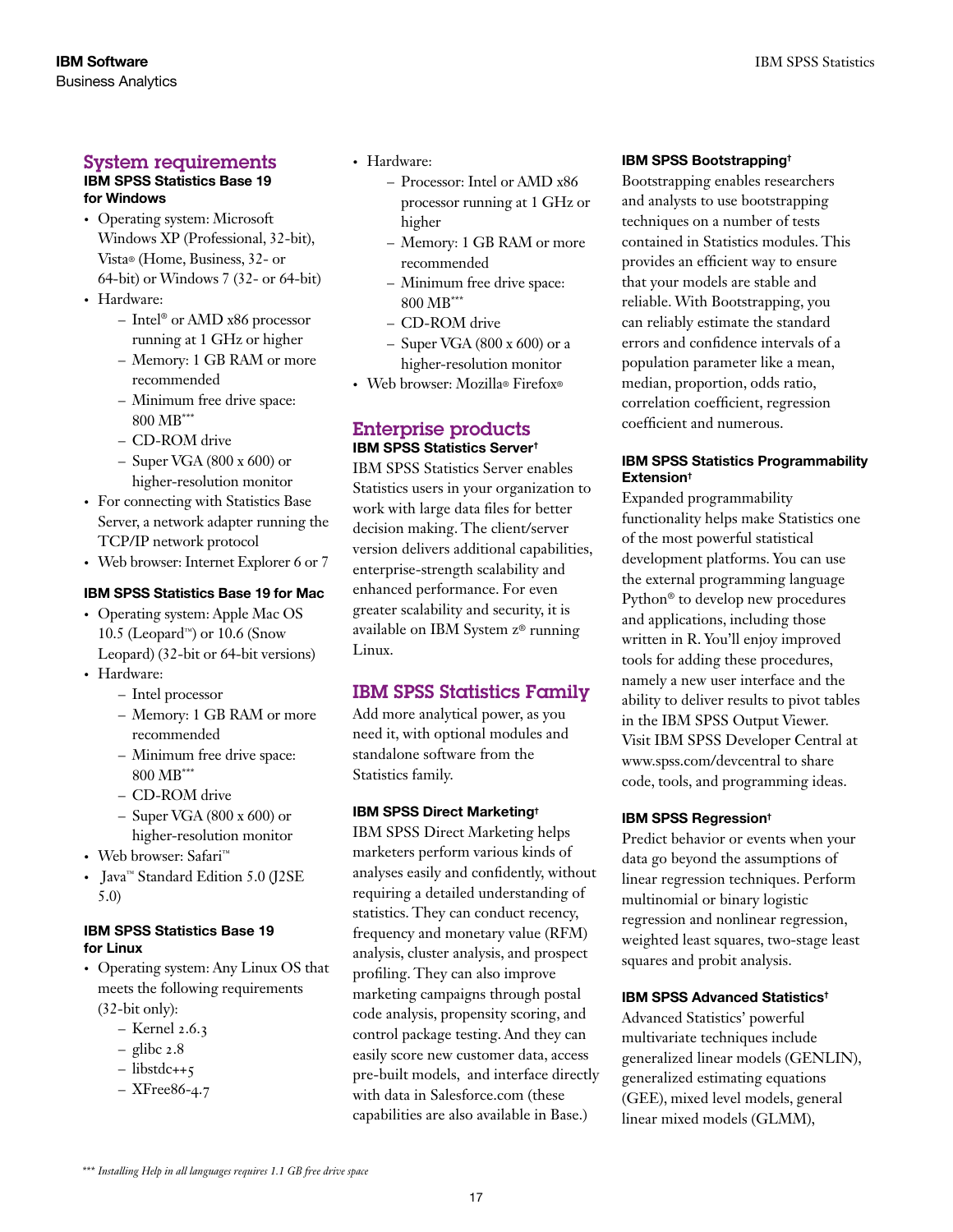### System requirements

### IBM SPSS Statistics Base 19 for Windows

- Operating system: Microsoft Windows XP (Professional, 32-bit), Vista® (Home, Business, 32- or 64-bit) or Windows 7 (32- or 64-bit)
- Hardware:
	- Intel® or AMD x86 processor running at 1 GHz or higher
	- Memory: 1 GB RAM or more recommended
	- Minimum free drive space: 800 MB\*\*\*
	- CD-ROM drive
	- $-$  Super VGA (800 x 600) or higher-resolution monitor
- For connecting with Statistics Base Server, a network adapter running the TCP/IP network protocol
- Web browser: Internet Explorer 6 or 7

### IBM SPSS Statistics Base 19 for Mac

- Operating system: Apple Mac OS 10.5 (Leopard™) or 10.6 (Snow Leopard) (32-bit or 64-bit versions)
- Hardware:
	- Intel processor
	- Memory: 1 GB RAM or more recommended
	- Minimum free drive space: 800 MB\*\*\*
	- CD-ROM drive
	- $-$  Super VGA (800 x 600) or higher-resolution monitor
- • Web browser: Safari™
- • Java™ Standard Edition 5.0 (J2SE 5.0)

#### IBM SPSS Statistics Base 19 for Linux

- • Operating system: Any Linux OS that meets the following requirements (32-bit only):
	- Kernel 2.6.3
	- $-$  glibc  $2.8$
	- libstdc++5
	- XFree86-4.7
- Hardware:
	- Processor: Intel or AMD x86 processor running at 1 GHz or higher
	- Memory: 1 GB RAM or more recommended
	- Minimum free drive space: 800 MB\*\*\*
	- CD-ROM drive
	- $-$  Super VGA (800 x 600) or a higher-resolution monitor
- • Web browser: Mozilla® Firefox®

### Enterprise products IBM SPSS Statistics Server†

IBM SPSS Statistics Server enables Statistics users in your organization to work with large data files for better decision making. The client/server version delivers additional capabilities, enterprise-strength scalability and enhanced performance. For even greater scalability and security, it is available on IBM System z® running Linux.

### IBM SPSS Statistics Family

Add more analytical power, as you need it, with optional modules and standalone software from the Statistics family.

#### IBM SPSS Direct Marketing†

IBM SPSS Direct Marketing helps marketers perform various kinds of analyses easily and confidently, without requiring a detailed understanding of statistics. They can conduct recency, frequency and monetary value (RFM) analysis, cluster analysis, and prospect profiling. They can also improve marketing campaigns through postal code analysis, propensity scoring, and control package testing. And they can easily score new customer data, access pre-built models, and interface directly with data in Salesforce.com (these capabilities are also available in Base.)

#### IBM SPSS Bootstrapping†

Bootstrapping enables researchers and analysts to use bootstrapping techniques on a number of tests contained in Statistics modules. This provides an efficient way to ensure that your models are stable and reliable. With Bootstrapping, you can reliably estimate the standard errors and confidence intervals of a population parameter like a mean, median, proportion, odds ratio, correlation coefficient, regression coefficient and numerous.

### IBM SPSS Statistics Programmability Extension†

Expanded programmability functionality helps make Statistics one of the most powerful statistical development platforms. You can use the external programming language Python® to develop new procedures and applications, including those written in R. You'll enjoy improved tools for adding these procedures, namely a new user interface and the ability to deliver results to pivot tables in the IBM SPSS Output Viewer. Visit IBM SPSS Developer Central at www.spss.com/devcentral to share code, tools, and programming ideas.

#### IBM SPSS Regression†

Predict behavior or events when your data go beyond the assumptions of linear regression techniques. Perform multinomial or binary logistic regression and nonlinear regression, weighted least squares, two-stage least squares and probit analysis.

#### IBM SPSS Advanced Statistics†

Advanced Statistics' powerful multivariate techniques include generalized linear models (GENLIN), generalized estimating equations (GEE), mixed level models, general linear mixed models (GLMM),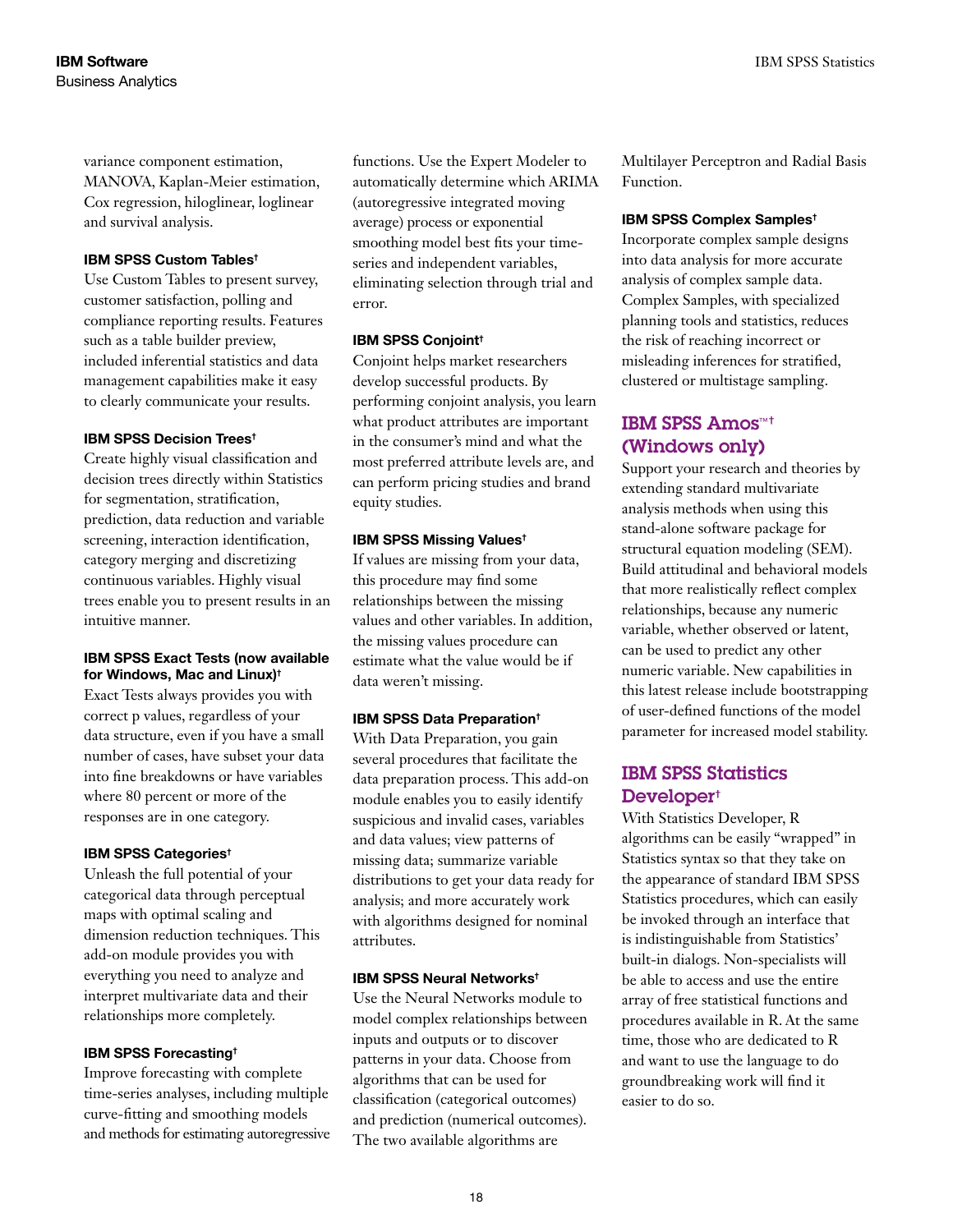variance component estimation, MANOVA, Kaplan-Meier estimation, Cox regression, hiloglinear, loglinear and survival analysis.

#### IBM SPSS Custom Tables†

Use Custom Tables to present survey, customer satisfaction, polling and compliance reporting results. Features such as a table builder preview, included inferential statistics and data management capabilities make it easy to clearly communicate your results.

#### IBM SPSS Decision Trees†

Create highly visual classification and decision trees directly within Statistics for segmentation, stratification, prediction, data reduction and variable screening, interaction identification, category merging and discretizing continuous variables. Highly visual trees enable you to present results in an intuitive manner.

#### IBM SPSS Exact Tests (now available for Windows, Mac and Linux)†

Exact Tests always provides you with correct p values, regardless of your data structure, even if you have a small number of cases, have subset your data into fine breakdowns or have variables where 80 percent or more of the responses are in one category.

#### IBM SPSS Categories†

Unleash the full potential of your categorical data through perceptual maps with optimal scaling and dimension reduction techniques. This add-on module provides you with everything you need to analyze and interpret multivariate data and their relationships more completely.

### IBM SPSS Forecasting†

Improve forecasting with complete time-series analyses, including multiple curve-fitting and smoothing models and methods for estimating autoregressive functions. Use the Expert Modeler to automatically determine which ARIMA (autoregressive integrated moving average) process or exponential smoothing model best fits your timeseries and independent variables, eliminating selection through trial and error.

#### IBM SPSS Conjoint†

Conjoint helps market researchers develop successful products. By performing conjoint analysis, you learn what product attributes are important in the consumer's mind and what the most preferred attribute levels are, and can perform pricing studies and brand equity studies.

#### IBM SPSS Missing Values†

If values are missing from your data, this procedure may find some relationships between the missing values and other variables. In addition, the missing values procedure can estimate what the value would be if data weren't missing.

### IBM SPSS Data Preparation†

With Data Preparation, you gain several procedures that facilitate the data preparation process. This add-on module enables you to easily identify suspicious and invalid cases, variables and data values; view patterns of missing data; summarize variable distributions to get your data ready for analysis; and more accurately work with algorithms designed for nominal attributes.

#### IBM SPSS Neural Networks†

Use the Neural Networks module to model complex relationships between inputs and outputs or to discover patterns in your data. Choose from algorithms that can be used for classification (categorical outcomes) and prediction (numerical outcomes). The two available algorithms are

Multilayer Perceptron and Radial Basis Function.

#### IBM SPSS Complex Samples†

Incorporate complex sample designs into data analysis for more accurate analysis of complex sample data. Complex Samples, with specialized planning tools and statistics, reduces the risk of reaching incorrect or misleading inferences for stratified, clustered or multistage sampling.

### IBM SPSS Amos™† (Windows only)

Support your research and theories by extending standard multivariate analysis methods when using this stand-alone software package for structural equation modeling (SEM). Build attitudinal and behavioral models that more realistically reflect complex relationships, because any numeric variable, whether observed or latent, can be used to predict any other numeric variable. New capabilities in this latest release include bootstrapping of user-defined functions of the model parameter for increased model stability.

### IBM SPSS Statistics Developer†

With Statistics Developer, R algorithms can be easily "wrapped" in Statistics syntax so that they take on the appearance of standard IBM SPSS Statistics procedures, which can easily be invoked through an interface that is indistinguishable from Statistics' built-in dialogs. Non-specialists will be able to access and use the entire array of free statistical functions and procedures available in R. At the same time, those who are dedicated to R and want to use the language to do groundbreaking work will find it easier to do so.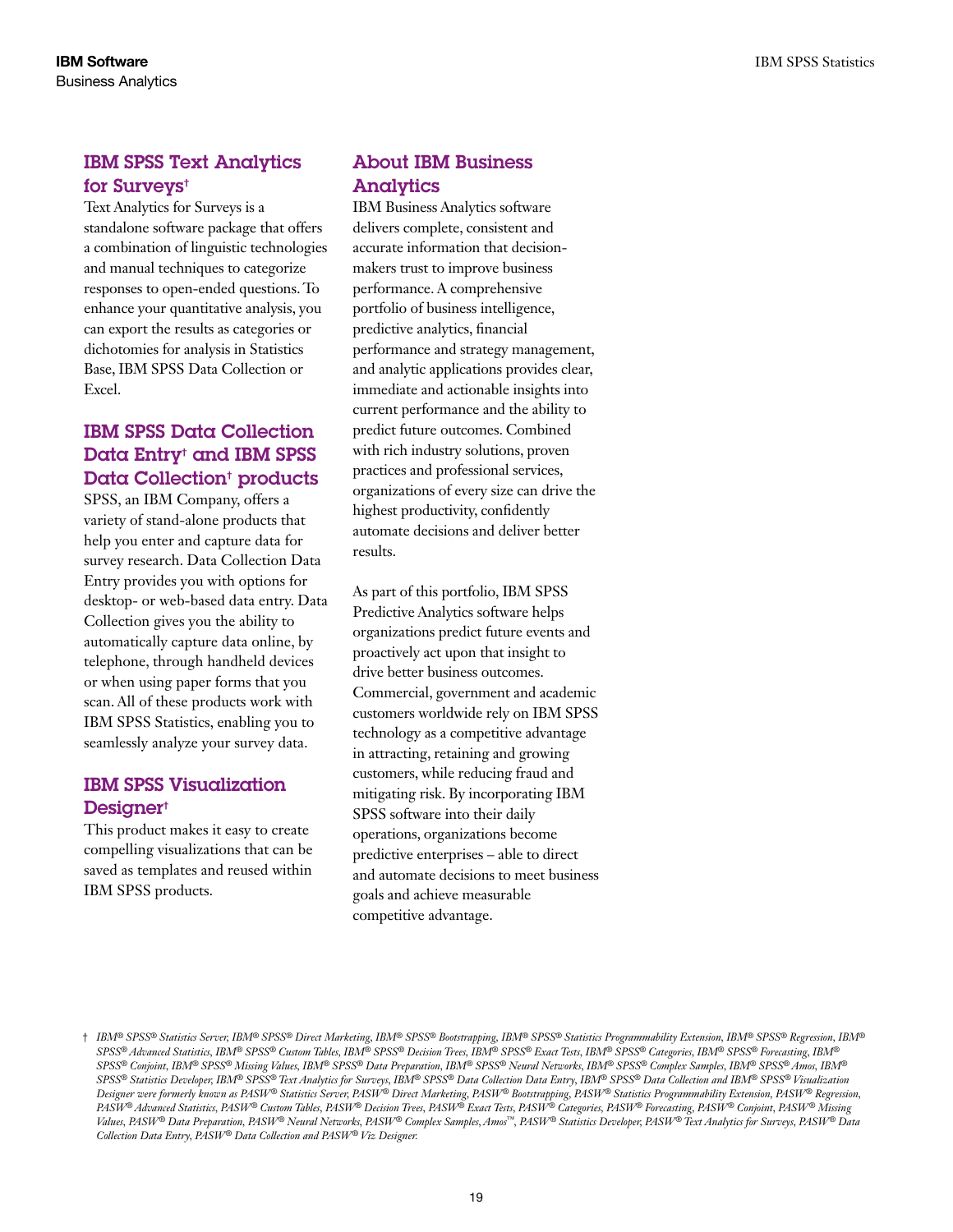### IBM SPSS Text Analytics for Surveys†

Text Analytics for Surveys is a standalone software package that offers a combination of linguistic technologies and manual techniques to categorize responses to open-ended questions. To enhance your quantitative analysis, you can export the results as categories or dichotomies for analysis in Statistics Base, IBM SPSS Data Collection or Excel.

### IBM SPSS Data Collection Data Entry† and IBM SPSS Data Collection<sup>†</sup> products

SPSS, an IBM Company, offers a variety of stand-alone products that help you enter and capture data for survey research. Data Collection Data Entry provides you with options for desktop- or web-based data entry. Data Collection gives you the ability to automatically capture data online, by telephone, through handheld devices or when using paper forms that you scan. All of these products work with IBM SPSS Statistics, enabling you to seamlessly analyze your survey data.

### IBM SPSS Visualization Designer<sup>†</sup>

This product makes it easy to create compelling visualizations that can be saved as templates and reused within IBM SPSS products.

### About IBM Business Analytics

IBM Business Analytics software delivers complete, consistent and accurate information that decisionmakers trust to improve business performance. A comprehensive portfolio of business intelligence, predictive analytics, financial performance and strategy management, and analytic applications provides clear, immediate and actionable insights into current performance and the ability to predict future outcomes. Combined with rich industry solutions, proven practices and professional services, organizations of every size can drive the highest productivity, confidently automate decisions and deliver better results.

As part of this portfolio, IBM SPSS Predictive Analytics software helps organizations predict future events and proactively act upon that insight to drive better business outcomes. Commercial, government and academic customers worldwide rely on IBM SPSS technology as a competitive advantage in attracting, retaining and growing customers, while reducing fraud and mitigating risk. By incorporating IBM SPSS software into their daily operations, organizations become predictive enterprises – able to direct and automate decisions to meet business goals and achieve measurable competitive advantage.

<sup>†</sup> *IBM® SPSS® Statistics Server, IBM® SPSS® Direct Marketing, IBM® SPSS® Bootstrapping, IBM® SPSS® Statistics Programmability Extension, IBM® SPSS® Regression, IBM® SPSS® Advanced Statistics, IBM® SPSS® Custom Tables, IBM® SPSS® Decision Trees, IBM® SPSS® Exact Tests, IBM® SPSS® Categories, IBM® SPSS® Forecasting, IBM® SPSS® Conjoint, IBM® SPSS® Missing Values, IBM® SPSS® Data Preparation, IBM® SPSS® Neural Networks, IBM® SPSS® Complex Samples, IBM® SPSS® Amos, IBM® SPSS® Statistics Developer, IBM® SPSS® Text Analytics for Surveys, IBM® SPSS® Data Collection Data Entry, IBM® SPSS® Data Collection and IBM® SPSS® Visualization Designer were formerly known as PASW® Statistics Server, PASW® Direct Marketing, PASW® Bootstrapping, PASW® Statistics Programmability Extension, PASW® Regression, PASW® Advanced Statistics, PASW® Custom Tables, PASW® Decision Trees, PASW® Exact Tests, PASW® Categories, PASW® Forecasting, PASW® Conjoint, PASW® Missing Values, PASW® Data Preparation, PASW® Neural Networks, PASW® Complex Samples, Amos™, PASW® Statistics Developer, PASW® Text Analytics for Surveys, PASW® Data Collection Data Entry, PASW® Data Collection and PASW® Viz Designer.*